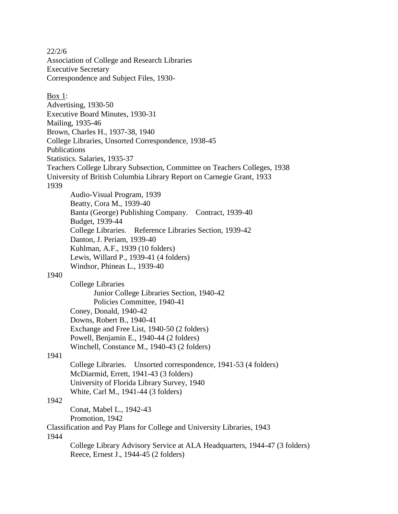22/2/6 Association of College and Research Libraries Executive Secretary Correspondence and Subject Files, 1930- Box 1: Advertising, 1930-50 Executive Board Minutes, 1930-31 Mailing, 1935-46 Brown, Charles H., 1937-38, 1940 College Libraries, Unsorted Correspondence, 1938-45 Publications Statistics. Salaries, 1935-37 Teachers College Library Subsection, Committee on Teachers Colleges, 1938 University of British Columbia Library Report on Carnegie Grant, 1933 1939 Audio-Visual Program, 1939 Beatty, Cora M., 1939-40 Banta (George) Publishing Company. Contract, 1939-40 Budget, 1939-44 College Libraries. Reference Libraries Section, 1939-42 Danton, J. Periam, 1939-40 Kuhlman, A.F., 1939 (10 folders) Lewis, Willard P., 1939-41 (4 folders) Windsor, Phineas L., 1939-40 1940 College Libraries Junior College Libraries Section, 1940-42 Policies Committee, 1940-41 Coney, Donald, 1940-42 Downs, Robert B., 1940-41 Exchange and Free List, 1940-50 (2 folders) Powell, Benjamin E., 1940-44 (2 folders) Winchell, Constance M., 1940-43 (2 folders) 1941 College Libraries. Unsorted correspondence, 1941-53 (4 folders) McDiarmid, Errett, 1941-43 (3 folders) University of Florida Library Survey, 1940 White, Carl M., 1941-44 (3 folders) 1942 Conat, Mabel L., 1942-43 Promotion, 1942 Classification and Pay Plans for College and University Libraries, 1943 1944 College Library Advisory Service at ALA Headquarters, 1944-47 (3 folders) Reece, Ernest J., 1944-45 (2 folders)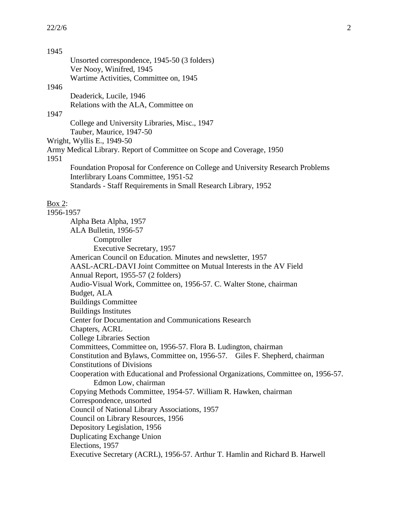# 1945

|           | Unsorted correspondence, 1945-50 (3 folders)                                        |
|-----------|-------------------------------------------------------------------------------------|
|           | Ver Nooy, Winifred, 1945<br>Wartime Activities, Committee on, 1945                  |
| 1946      |                                                                                     |
|           | Deaderick, Lucile, 1946                                                             |
|           | Relations with the ALA, Committee on                                                |
| 1947      |                                                                                     |
|           | College and University Libraries, Misc., 1947                                       |
|           | Tauber, Maurice, 1947-50                                                            |
|           | Wright, Wyllis E., 1949-50                                                          |
| 1951      | Army Medical Library. Report of Committee on Scope and Coverage, 1950               |
|           | Foundation Proposal for Conference on College and University Research Problems      |
|           | Interlibrary Loans Committee, 1951-52                                               |
|           | Standards - Staff Requirements in Small Research Library, 1952                      |
| Box 2:    |                                                                                     |
| 1956-1957 |                                                                                     |
|           | Alpha Beta Alpha, 1957                                                              |
|           | ALA Bulletin, 1956-57                                                               |
|           | Comptroller                                                                         |
|           | <b>Executive Secretary, 1957</b>                                                    |
|           | American Council on Education. Minutes and newsletter, 1957                         |
|           | AASL-ACRL-DAVI Joint Committee on Mutual Interests in the AV Field                  |
|           | Annual Report, 1955-57 (2 folders)                                                  |
|           | Audio-Visual Work, Committee on, 1956-57. C. Walter Stone, chairman                 |
|           | Budget, ALA                                                                         |
|           | <b>Buildings Committee</b>                                                          |
|           | <b>Buildings Institutes</b>                                                         |
|           | Center for Documentation and Communications Research                                |
|           | Chapters, ACRL                                                                      |
|           | <b>College Libraries Section</b>                                                    |
|           | Committees, Committee on, 1956-57. Flora B. Ludington, chairman                     |
|           | Constitution and Bylaws, Committee on, 1956-57. Giles F. Shepherd, chairman         |
|           | <b>Constitutions of Divisions</b>                                                   |
|           | Cooperation with Educational and Professional Organizations, Committee on, 1956-57. |
|           | Edmon Low, chairman                                                                 |
|           | Copying Methods Committee, 1954-57. William R. Hawken, chairman                     |
|           | Correspondence, unsorted                                                            |
|           | Council of National Library Associations, 1957                                      |
|           | Council on Library Resources, 1956<br>Depository Legislation, 1956                  |
|           |                                                                                     |
|           | Duplicating Exchange Union<br>Elections, 1957                                       |
|           | Executive Secretary (ACRL), 1956-57. Arthur T. Hamlin and Richard B. Harwell        |
|           |                                                                                     |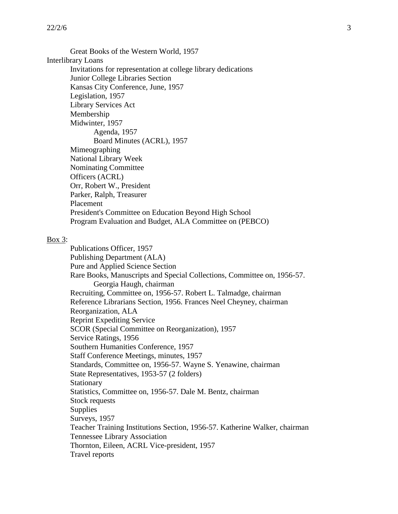Great Books of the Western World, 1957 Interlibrary Loans Invitations for representation at college library dedications Junior College Libraries Section Kansas City Conference, June, 1957 Legislation, 1957 Library Services Act Membership Midwinter, 1957 Agenda, 1957 Board Minutes (ACRL), 1957 Mimeographing National Library Week Nominating Committee Officers (ACRL) Orr, Robert W., President Parker, Ralph, Treasurer Placement President's Committee on Education Beyond High School Program Evaluation and Budget, ALA Committee on (PEBCO)

#### Box 3:

Publications Officer, 1957 Publishing Department (ALA) Pure and Applied Science Section Rare Books, Manuscripts and Special Collections, Committee on, 1956-57. Georgia Haugh, chairman Recruiting, Committee on, 1956-57. Robert L. Talmadge, chairman Reference Librarians Section, 1956. Frances Neel Cheyney, chairman Reorganization, ALA Reprint Expediting Service SCOR (Special Committee on Reorganization), 1957 Service Ratings, 1956 Southern Humanities Conference, 1957 Staff Conference Meetings, minutes, 1957 Standards, Committee on, 1956-57. Wayne S. Yenawine, chairman State Representatives, 1953-57 (2 folders) **Stationary** Statistics, Committee on, 1956-57. Dale M. Bentz, chairman Stock requests **Supplies** Surveys, 1957 Teacher Training Institutions Section, 1956-57. Katherine Walker, chairman Tennessee Library Association Thornton, Eileen, ACRL Vice-president, 1957 Travel reports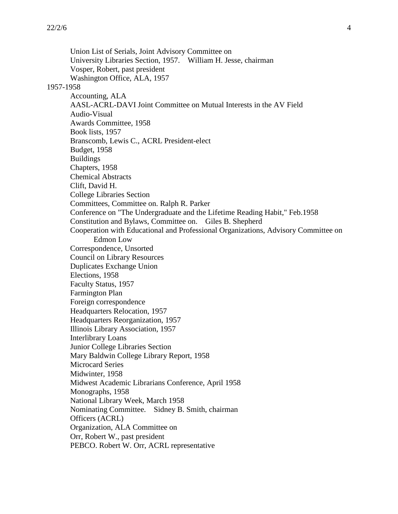Union List of Serials, Joint Advisory Committee on University Libraries Section, 1957. William H. Jesse, chairman Vosper, Robert, past president Washington Office, ALA, 1957 1957-1958 Accounting, ALA AASL-ACRL-DAVI Joint Committee on Mutual Interests in the AV Field Audio-Visual Awards Committee, 1958 Book lists, 1957 Branscomb, Lewis C., ACRL President-elect Budget, 1958 Buildings Chapters, 1958 Chemical Abstracts Clift, David H. College Libraries Section Committees, Committee on. Ralph R. Parker Conference on "The Undergraduate and the Lifetime Reading Habit," Feb.1958 Constitution and Bylaws, Committee on. Giles B. Shepherd Cooperation with Educational and Professional Organizations, Advisory Committee on Edmon Low Correspondence, Unsorted Council on Library Resources Duplicates Exchange Union Elections, 1958 Faculty Status, 1957 Farmington Plan Foreign correspondence Headquarters Relocation, 1957 Headquarters Reorganization, 1957 Illinois Library Association, 1957 Interlibrary Loans Junior College Libraries Section Mary Baldwin College Library Report, 1958 Microcard Series Midwinter, 1958 Midwest Academic Librarians Conference, April 1958 Monographs, 1958 National Library Week, March 1958 Nominating Committee. Sidney B. Smith, chairman Officers (ACRL) Organization, ALA Committee on Orr, Robert W., past president PEBCO. Robert W. Orr, ACRL representative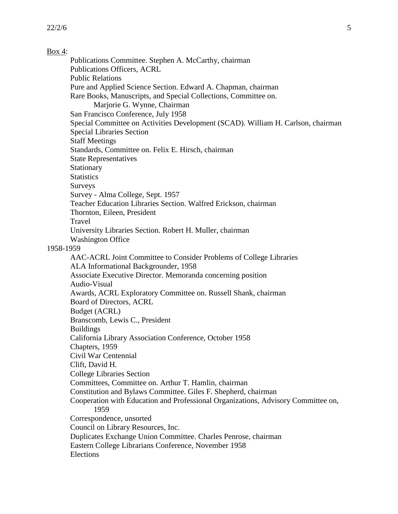## Box 4:

Publications Committee. Stephen A. McCarthy, chairman Publications Officers, ACRL Public Relations Pure and Applied Science Section. Edward A. Chapman, chairman Rare Books, Manuscripts, and Special Collections, Committee on. Marjorie G. Wynne, Chairman San Francisco Conference, July 1958 Special Committee on Activities Development (SCAD). William H. Carlson, chairman Special Libraries Section Staff Meetings Standards, Committee on. Felix E. Hirsch, chairman State Representatives **Stationary Statistics** Surveys Survey - Alma College, Sept. 1957 Teacher Education Libraries Section. Walfred Erickson, chairman Thornton, Eileen, President Travel University Libraries Section. Robert H. Muller, chairman Washington Office 1958-1959 AAC-ACRL Joint Committee to Consider Problems of College Libraries ALA Informational Backgrounder, 1958 Associate Executive Director. Memoranda concerning position Audio-Visual Awards, ACRL Exploratory Committee on. Russell Shank, chairman Board of Directors, ACRL Budget (ACRL) Branscomb, Lewis C., President Buildings California Library Association Conference, October 1958 Chapters, 1959 Civil War Centennial Clift, David H. College Libraries Section Committees, Committee on. Arthur T. Hamlin, chairman Constitution and Bylaws Committee. Giles F. Shepherd, chairman Cooperation with Education and Professional Organizations, Advisory Committee on, 1959 Correspondence, unsorted Council on Library Resources, Inc. Duplicates Exchange Union Committee. Charles Penrose, chairman Eastern College Librarians Conference, November 1958 Elections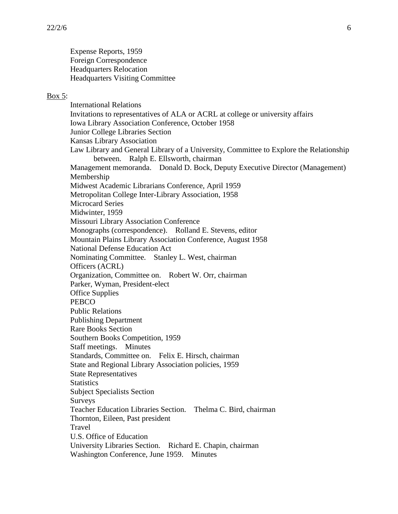Expense Reports, 1959 Foreign Correspondence Headquarters Relocation Headquarters Visiting Committee

#### Box 5:

International Relations Invitations to representatives of ALA or ACRL at college or university affairs Iowa Library Association Conference, October 1958 Junior College Libraries Section Kansas Library Association Law Library and General Library of a University, Committee to Explore the Relationship between. Ralph E. Ellsworth, chairman Management memoranda. Donald D. Bock, Deputy Executive Director (Management) Membership Midwest Academic Librarians Conference, April 1959 Metropolitan College Inter-Library Association, 1958 Microcard Series Midwinter, 1959 Missouri Library Association Conference Monographs (correspondence). Rolland E. Stevens, editor Mountain Plains Library Association Conference, August 1958 National Defense Education Act Nominating Committee. Stanley L. West, chairman Officers (ACRL) Organization, Committee on. Robert W. Orr, chairman Parker, Wyman, President-elect Office Supplies **PEBCO** Public Relations Publishing Department Rare Books Section Southern Books Competition, 1959 Staff meetings. Minutes Standards, Committee on. Felix E. Hirsch, chairman State and Regional Library Association policies, 1959 State Representatives **Statistics** Subject Specialists Section Surveys Teacher Education Libraries Section. Thelma C. Bird, chairman Thornton, Eileen, Past president Travel U.S. Office of Education University Libraries Section. Richard E. Chapin, chairman Washington Conference, June 1959. Minutes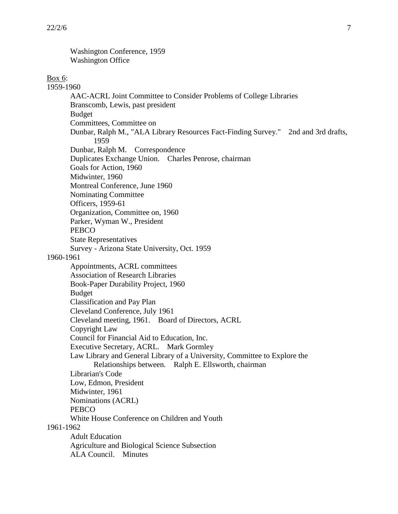Washington Conference, 1959 Washington Office

#### Box 6:

1959-1960 AAC-ACRL Joint Committee to Consider Problems of College Libraries Branscomb, Lewis, past president Budget Committees, Committee on Dunbar, Ralph M., "ALA Library Resources Fact-Finding Survey." 2nd and 3rd drafts, 1959 Dunbar, Ralph M. Correspondence Duplicates Exchange Union. Charles Penrose, chairman Goals for Action, 1960 Midwinter, 1960 Montreal Conference, June 1960 Nominating Committee Officers, 1959-61 Organization, Committee on, 1960 Parker, Wyman W., President PEBCO State Representatives Survey - Arizona State University, Oct. 1959 1960-1961 Appointments, ACRL committees Association of Research Libraries Book-Paper Durability Project, 1960 Budget Classification and Pay Plan Cleveland Conference, July 1961 Cleveland meeting, 1961. Board of Directors, ACRL Copyright Law Council for Financial Aid to Education, Inc. Executive Secretary, ACRL. Mark Gormley Law Library and General Library of a University, Committee to Explore the Relationships between. Ralph E. Ellsworth, chairman Librarian's Code Low, Edmon, President Midwinter, 1961 Nominations (ACRL) PEBCO White House Conference on Children and Youth 1961-1962 Adult Education Agriculture and Biological Science Subsection ALA Council. Minutes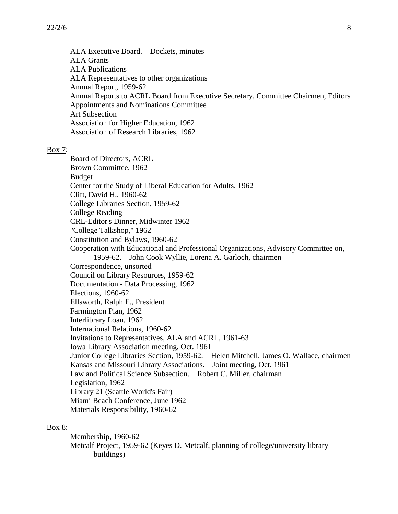ALA Executive Board. Dockets, minutes ALA Grants ALA Publications ALA Representatives to other organizations Annual Report, 1959-62 Annual Reports to ACRL Board from Executive Secretary, Committee Chairmen, Editors Appointments and Nominations Committee Art Subsection Association for Higher Education, 1962 Association of Research Libraries, 1962

#### Box 7:

Board of Directors, ACRL Brown Committee, 1962 Budget Center for the Study of Liberal Education for Adults, 1962 Clift, David H., 1960-62 College Libraries Section, 1959-62 College Reading CRL-Editor's Dinner, Midwinter 1962 "College Talkshop," 1962 Constitution and Bylaws, 1960-62 Cooperation with Educational and Professional Organizations, Advisory Committee on, 1959-62. John Cook Wyllie, Lorena A. Garloch, chairmen Correspondence, unsorted Council on Library Resources, 1959-62 Documentation - Data Processing, 1962 Elections, 1960-62 Ellsworth, Ralph E., President Farmington Plan, 1962 Interlibrary Loan, 1962 International Relations, 1960-62 Invitations to Representatives, ALA and ACRL, 1961-63 Iowa Library Association meeting, Oct. 1961 Junior College Libraries Section, 1959-62. Helen Mitchell, James O. Wallace, chairmen Kansas and Missouri Library Associations. Joint meeting, Oct. 1961 Law and Political Science Subsection. Robert C. Miller, chairman Legislation, 1962 Library 21 (Seattle World's Fair) Miami Beach Conference, June 1962 Materials Responsibility, 1960-62

#### Box 8:

Membership, 1960-62 Metcalf Project, 1959-62 (Keyes D. Metcalf, planning of college/university library buildings)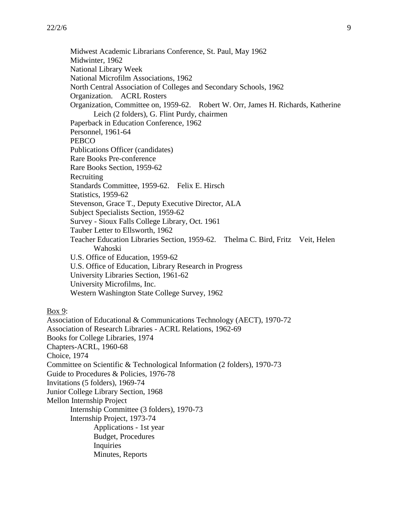Midwest Academic Librarians Conference, St. Paul, May 1962 Midwinter, 1962 National Library Week National Microfilm Associations, 1962 North Central Association of Colleges and Secondary Schools, 1962 Organization. ACRL Rosters Organization, Committee on, 1959-62. Robert W. Orr, James H. Richards, Katherine Leich (2 folders), G. Flint Purdy, chairmen Paperback in Education Conference, 1962 Personnel, 1961-64 **PEBCO** Publications Officer (candidates) Rare Books Pre-conference Rare Books Section, 1959-62 Recruiting Standards Committee, 1959-62. Felix E. Hirsch Statistics, 1959-62 Stevenson, Grace T., Deputy Executive Director, ALA Subject Specialists Section, 1959-62 Survey - Sioux Falls College Library, Oct. 1961 Tauber Letter to Ellsworth, 1962 Teacher Education Libraries Section, 1959-62. Thelma C. Bird, Fritz Veit, Helen Wahoski U.S. Office of Education, 1959-62 U.S. Office of Education, Library Research in Progress University Libraries Section, 1961-62 University Microfilms, Inc. Western Washington State College Survey, 1962

Box 9:

Association of Educational & Communications Technology (AECT), 1970-72 Association of Research Libraries - ACRL Relations, 1962-69 Books for College Libraries, 1974 Chapters-ACRL, 1960-68 Choice, 1974 Committee on Scientific & Technological Information (2 folders), 1970-73 Guide to Procedures & Policies, 1976-78 Invitations (5 folders), 1969-74 Junior College Library Section, 1968 Mellon Internship Project Internship Committee (3 folders), 1970-73 Internship Project, 1973-74 Applications - 1st year Budget, Procedures Inquiries Minutes, Reports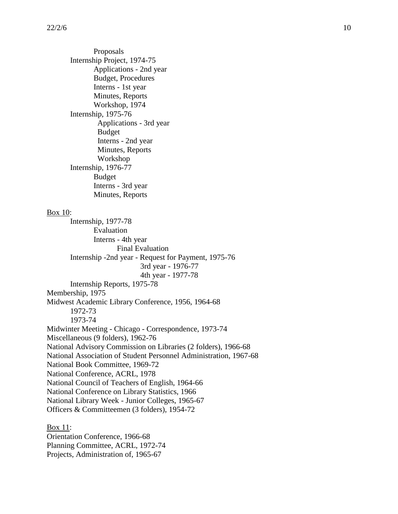Proposals Internship Project, 1974-75 Applications - 2nd year Budget, Procedures Interns - 1st year Minutes, Reports Workshop, 1974 Internship, 1975-76 Applications - 3rd year Budget Interns - 2nd year Minutes, Reports Workshop Internship, 1976-77 Budget Interns - 3rd year Minutes, Reports Box 10: Internship, 1977-78 Evaluation Interns - 4th year Final Evaluation Internship -2nd year - Request for Payment, 1975-76 3rd year - 1976-77 4th year - 1977-78 Internship Reports, 1975-78 Membership, 1975 Midwest Academic Library Conference, 1956, 1964-68 1972-73 1973-74 Midwinter Meeting - Chicago - Correspondence, 1973-74 Miscellaneous (9 folders), 1962-76 National Advisory Commission on Libraries (2 folders), 1966-68 National Association of Student Personnel Administration, 1967-68 National Book Committee, 1969-72 National Conference, ACRL, 1978 National Council of Teachers of English, 1964-66 National Conference on Library Statistics, 1966 National Library Week - Junior Colleges, 1965-67 Officers & Committeemen (3 folders), 1954-72 Box 11: Orientation Conference, 1966-68

Planning Committee, ACRL, 1972-74

Projects, Administration of, 1965-67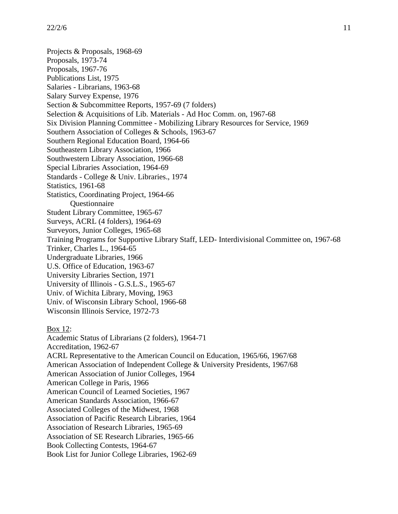Projects & Proposals, 1968-69 Proposals, 1973-74 Proposals, 1967-76 Publications List, 1975 Salaries - Librarians, 1963-68 Salary Survey Expense, 1976 Section & Subcommittee Reports, 1957-69 (7 folders) Selection & Acquisitions of Lib. Materials - Ad Hoc Comm. on, 1967-68 Six Division Planning Committee - Mobilizing Library Resources for Service, 1969 Southern Association of Colleges & Schools, 1963-67 Southern Regional Education Board, 1964-66 Southeastern Library Association, 1966 Southwestern Library Association, 1966-68 Special Libraries Association, 1964-69 Standards - College & Univ. Libraries., 1974 Statistics, 1961-68 Statistics, Coordinating Project, 1964-66 **Ouestionnaire** Student Library Committee, 1965-67 Surveys, ACRL (4 folders), 1964-69 Surveyors, Junior Colleges, 1965-68 Training Programs for Supportive Library Staff, LED- Interdivisional Committee on, 1967-68 Trinker, Charles L., 1964-65 Undergraduate Libraries, 1966 U.S. Office of Education, 1963-67 University Libraries Section, 1971 University of Illinois - G.S.L.S., 1965-67 Univ. of Wichita Library, Moving, 1963 Univ. of Wisconsin Library School, 1966-68 Wisconsin Illinois Service, 1972-73 Box 12: Academic Status of Librarians (2 folders), 1964-71 Accreditation, 1962-67 ACRL Representative to the American Council on Education, 1965/66, 1967/68 American Association of Independent College & University Presidents, 1967/68 American Association of Junior Colleges, 1964 American College in Paris, 1966 American Council of Learned Societies, 1967 American Standards Association, 1966-67 Associated Colleges of the Midwest, 1968 Association of Pacific Research Libraries, 1964 Association of Research Libraries, 1965-69 Association of SE Research Libraries, 1965-66 Book Collecting Contests, 1964-67 Book List for Junior College Libraries, 1962-69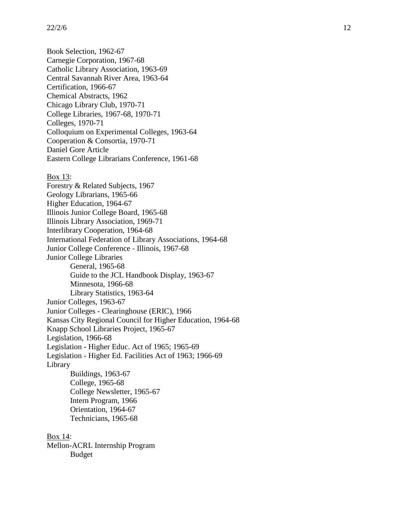Book Selection, 1962 -67 Carnegie Corporation, 1967 -68 Catholic Library Association, 1963 -69 Central Savannah River Area, 1963 -64 Certification, 1966 -67 Chemical Abstracts, 1962 Chicago Library Club, 1970 -71 College Libraries, 1967 -68, 1970 -71 Colleges, 1970 -71 Colloquium on Experimental Colleges, 1963 -64 Cooperation & Consortia, 1970 -71 Daniel Gore Article Eastern College Librarians Conference, 1961 -68

#### Box 13:

Forestry & Related Subjects, 1967 Geology Librarians, 1965 -66 Higher Education, 1964 -67 Illinois Junior College Board, 1965 -68 Illinois Library Association, 1969 -71 Interlibrary Cooperation, 1964 -68 International Federation of Library Associations, 1964 -68 Junior College Conference - Illinois, 1967-68 Junior College Libraries General, 1965 -68 Guide to the JCL Handbook Display, 1963 -67 Minnesota, 1966 -68 Library Statistics, 1963 -64 Junior Colleges, 1963 -67 Junior Colleges - Clearinghouse (ERIC), 1966 Kansas City Regional Council for Higher Education, 1964 -68 Knapp School Libraries Project, 1965 -67 Legislation, 1966 -68 Legislation - Higher Educ. Act of 1965; 1965-69 Legislation - Higher Ed. Facilities Act of 1963; 1966 -69 Library Buildings, 1963 -67 College, 1965 -68 College Newsletter, 1965 -67 Intern Program, 1966 Orientation, 1964 -67 Technicians, 1965 -68

Box 14:

Mellon -ACRL Internship Program Budget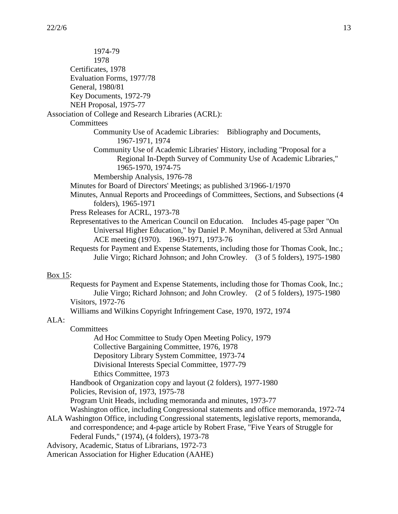| 1974-79                                                                                                                                                                                                    |
|------------------------------------------------------------------------------------------------------------------------------------------------------------------------------------------------------------|
| 1978                                                                                                                                                                                                       |
| Certificates, 1978                                                                                                                                                                                         |
| Evaluation Forms, 1977/78                                                                                                                                                                                  |
| General, 1980/81                                                                                                                                                                                           |
| Key Documents, 1972-79                                                                                                                                                                                     |
| NEH Proposal, 1975-77                                                                                                                                                                                      |
| Association of College and Research Libraries (ACRL):                                                                                                                                                      |
| Committees                                                                                                                                                                                                 |
| Community Use of Academic Libraries: Bibliography and Documents,                                                                                                                                           |
| 1967-1971, 1974                                                                                                                                                                                            |
| Community Use of Academic Libraries' History, including "Proposal for a<br>Regional In-Depth Survey of Community Use of Academic Libraries,"<br>1965-1970, 1974-75                                         |
| Membership Analysis, 1976-78                                                                                                                                                                               |
| Minutes for Board of Directors' Meetings; as published 3/1966-1/1970                                                                                                                                       |
| Minutes, Annual Reports and Proceedings of Committees, Sections, and Subsections (4)                                                                                                                       |
| folders), 1965-1971                                                                                                                                                                                        |
| Press Releases for ACRL, 1973-78                                                                                                                                                                           |
| Representatives to the American Council on Education. Includes 45-page paper "On<br>Universal Higher Education," by Daniel P. Moynihan, delivered at 53rd Annual<br>ACE meeting (1970). 1969-1971, 1973-76 |
| Requests for Payment and Expense Statements, including those for Thomas Cook, Inc.;<br>Julie Virgo; Richard Johnson; and John Crowley. (3 of 5 folders), 1975-1980                                         |
| Box 15:                                                                                                                                                                                                    |
| Requests for Payment and Expense Statements, including those for Thomas Cook, Inc.;                                                                                                                        |
| Julie Virgo; Richard Johnson; and John Crowley. (2 of 5 folders), 1975-1980                                                                                                                                |
| Visitors, 1972-76                                                                                                                                                                                          |
| Williams and Wilkins Copyright Infringement Case, 1970, 1972, 1974                                                                                                                                         |
| ALA:                                                                                                                                                                                                       |
| Committees                                                                                                                                                                                                 |
| Ad Hoc Committee to Study Open Meeting Policy, 1979                                                                                                                                                        |
| Collective Bargaining Committee, 1976, 1978                                                                                                                                                                |
| Depository Library System Committee, 1973-74                                                                                                                                                               |
| Divisional Interests Special Committee, 1977-79                                                                                                                                                            |
| Ethics Committee, 1973                                                                                                                                                                                     |
| Handbook of Organization copy and layout (2 folders), 1977-1980                                                                                                                                            |
| Policies, Revision of, 1973, 1975-78                                                                                                                                                                       |
| Program Unit Heads, including memoranda and minutes, 1973-77                                                                                                                                               |

- Washington office, including Congressional statements and office memoranda, 1972-74
- ALA Washington Office, including Congressional statements, legislative reports, memoranda, and correspondence; and 4-page article by Robert Frase, "Five Years of Struggle for Federal Funds," (1974), (4 folders), 1973-78
- Advisory, Academic, Status of Librarians, 1972-73
- American Association for Higher Education (AAHE)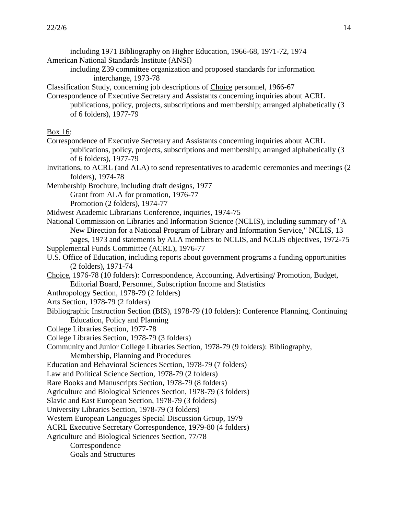- including 1971 Bibliography on Higher Education, 1966-68, 1971-72, 1974 American National Standards Institute (ANSI)
	- including Z39 committee organization and proposed standards for information interchange, 1973-78

Classification Study, concerning job descriptions of Choice personnel, 1966-67

Correspondence of Executive Secretary and Assistants concerning inquiries about ACRL publications, policy, projects, subscriptions and membership; arranged alphabetically (3 of 6 folders), 1977-79

#### Box 16:

- Correspondence of Executive Secretary and Assistants concerning inquiries about ACRL publications, policy, projects, subscriptions and membership; arranged alphabetically (3 of 6 folders), 1977-79
- Invitations, to ACRL (and ALA) to send representatives to academic ceremonies and meetings (2 folders), 1974-78
- Membership Brochure, including draft designs, 1977

Grant from ALA for promotion, 1976-77

Promotion (2 folders), 1974-77

- Midwest Academic Librarians Conference, inquiries, 1974-75
- National Commission on Libraries and Information Science (NCLIS), including summary of "A New Direction for a National Program of Library and Information Service," NCLIS, 13 pages, 1973 and statements by ALA members to NCLIS, and NCLIS objectives, 1972-75
- Supplemental Funds Committee (ACRL), 1976-77
- U.S. Office of Education, including reports about government programs a funding opportunities (2 folders), 1971-74
- Choice, 1976-78 (10 folders): Correspondence, Accounting, Advertising/ Promotion, Budget, Editorial Board, Personnel, Subscription Income and Statistics
- Anthropology Section, 1978-79 (2 folders)
- Arts Section, 1978-79 (2 folders)
- Bibliographic Instruction Section (BIS), 1978-79 (10 folders): Conference Planning, Continuing Education, Policy and Planning
- College Libraries Section, 1977-78
- College Libraries Section, 1978-79 (3 folders)

Community and Junior College Libraries Section, 1978-79 (9 folders): Bibliography,

Membership, Planning and Procedures

Education and Behavioral Sciences Section, 1978-79 (7 folders)

Law and Political Science Section, 1978-79 (2 folders)

Rare Books and Manuscripts Section, 1978-79 (8 folders)

Agriculture and Biological Sciences Section, 1978-79 (3 folders)

Slavic and East European Section, 1978-79 (3 folders)

University Libraries Section, 1978-79 (3 folders)

Western European Languages Special Discussion Group, 1979

ACRL Executive Secretary Correspondence, 1979-80 (4 folders)

Agriculture and Biological Sciences Section, 77/78

**Correspondence** 

Goals and Structures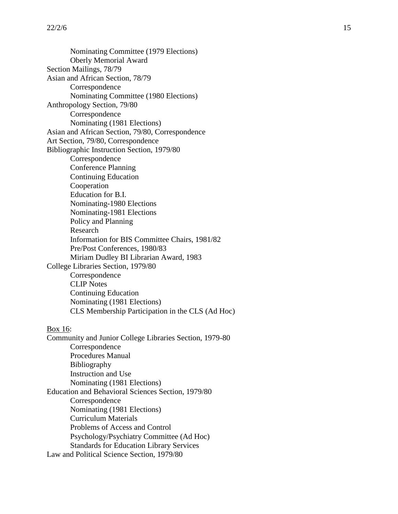Nominating Committee (1979 Elections) Oberly Memorial Award Section Mailings, 78/79 Asian and African Section, 78/79 **Correspondence** Nominating Committee (1980 Elections) Anthropology Section, 79/80 Correspondence Nominating (1981 Elections) Asian and African Section, 79/80, Correspondence Art Section, 79/80, Correspondence Bibliographic Instruction Section, 1979/80 **Correspondence** Conference Planning Continuing Education Cooperation Education for B.I. Nominating -1980 Elections Nominating -1981 Elections Policy and Planning Research Information for BIS Committee Chairs, 1981/82 Pre/Post Conferences, 1980/83 Miriam Dudley BI Librarian Award, 1983 College Libraries Section, 1979/80 **Correspondence** CLIP Notes Continuing Education Nominating (1981 Elections) CLS Membership Participation in the CLS (Ad Hoc ) Box 16: Community and Junior College Libraries Section, 1979 -80 **Correspondence** Procedures Manual Bibliography Instruction and Use Nominating (1981 Elections) Education and Behavioral Sciences Section, 1979/80 **Correspondence** Nominating (1981 Elections) Curriculum Materials Problems of Access and Control Psychology/Psychiatry Committee (Ad Hoc) Standards for Education Library Services Law and Political Science Section, 1979/80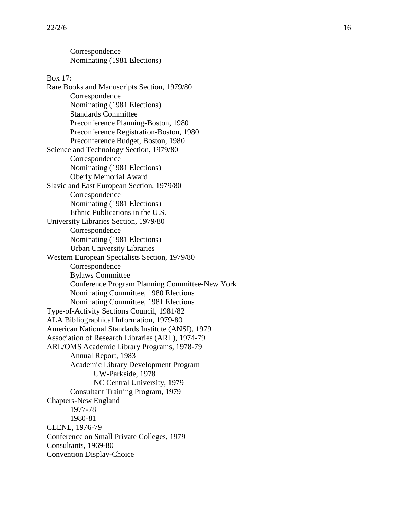Correspondence Nominating (1981 Elections)

Box 17: Rare Books and Manuscripts Section, 1979/80 Correspondence Nominating (1981 Elections) Standards Committee Preconference Planning -Boston, 1980 Preconference Registration -Boston, 1980 Preconference Budget, Boston, 1980 Science and Technology Section, 1979/80 Correspondenc e Nominating (1981 Elections) Oberly Memorial Award Slavic and East European Section, 1979/80 Correspondence Nominating (1981 Elections) Ethnic Publications in the U.S. University Libraries Section, 1979/80 Correspondence Nominating (1981 Elections) Urban University Libraries Western European Specialists Section, 1979/80 **Correspondence** Bylaws Committee Conference Program Planning Committee -New York Nominating Committee, 1980 Elections Nominating Committee, 1981 Elections Type -of-Activity Sections Council, 1981/82 ALA Bibliographical Information, 1979 -80 American National Standards Institute (ANSI), 1979 Association of Research Libraries (ARL), 1974 -79 ARL/OMS Academic Library Programs, 1978 -79 Annual Report, 1983 Academic Library Development Program UW -Parkside, 1978 NC Central University, 1979 Consultant Training Program, 1979 Chapters -New England 1977 -78 1980 -81 CLENE, 1976 -79 Conference on Small Private Colleges, 1979 Consultants, 1969 -80 Convention Display-Choice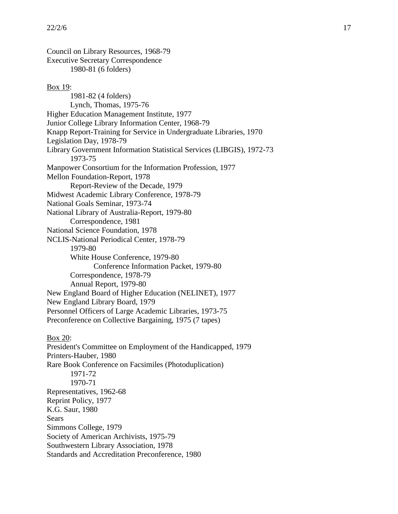Council on Library Resources, 1968-79 Executive Secretary Correspondence 1980-81 (6 folders)

#### Box 19:

1981-82 (4 folders) Lynch, Thomas, 1975-76 Higher Education Management Institute, 1977 Junior College Library Information Center, 1968-79 Knapp Report-Training for Service in Undergraduate Libraries, 1970 Legislation Day, 1978-79 Library Government Information Statistical Services (LIBGIS), 1972-73 1973-75 Manpower Consortium for the Information Profession, 1977 Mellon Foundation-Report, 1978 Report-Review of the Decade, 1979 Midwest Academic Library Conference, 1978-79 National Goals Seminar, 1973-74 National Library of Australia-Report, 1979-80 Correspondence, 1981 National Science Foundation, 1978 NCLIS-National Periodical Center, 1978-79 1979-80 White House Conference, 1979-80 Conference Information Packet, 1979-80 Correspondence, 1978-79 Annual Report, 1979-80 New England Board of Higher Education (NELINET), 1977 New England Library Board, 1979 Personnel Officers of Large Academic Libraries, 1973-75 Preconference on Collective Bargaining, 1975 (7 tapes) Box 20: President's Committee on Employment of the Handicapped, 1979 Printers-Hauber, 1980 Rare Book Conference on Facsimiles (Photoduplication) 1971-72 1970-71

Representatives, 1962-68 Reprint Policy, 1977

K.G. Saur, 1980

Sears

Simmons College, 1979

Society of American Archivists, 1975-79

Southwestern Library Association, 1978

Standards and Accreditation Preconference, 1980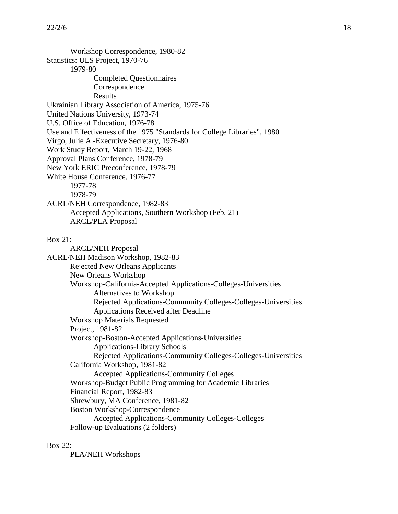Workshop Correspondence, 1980-82 Statistics: ULS Project, 1970-76 1979-80 Completed Questionnaires Correspondence Results Ukrainian Library Association of America, 1975-76 United Nations University, 1973-74 U.S. Office of Education, 1976-78 Use and Effectiveness of the 1975 "Standards for College Libraries", 1980 Virgo, Julie A.-Executive Secretary, 1976-80 Work Study Report, March 19-22, 1968 Approval Plans Conference, 1978-79 New York ERIC Preconference, 1978-79 White House Conference, 1976-77 1977-78 1978-79 ACRL/NEH Correspondence, 1982-83 Accepted Applications, Southern Workshop (Feb. 21) ARCL/PLA Proposal Box 21: ARCL/NEH Proposal ACRL/NEH Madison Workshop, 1982-83 Rejected New Orleans Applicants New Orleans Workshop Workshop-California-Accepted Applications-Colleges-Universities Alternatives to Workshop Rejected Applications-Community Colleges-Colleges-Universities Applications Received after Deadline Workshop Materials Requested Project, 1981-82 Workshop-Boston-Accepted Applications-Universities Applications-Library Schools Rejected Applications-Community Colleges-Colleges-Universities California Workshop, 1981-82 Accepted Applications-Community Colleges Workshop-Budget Public Programming for Academic Libraries Financial Report, 1982-83 Shrewbury, MA Conference, 1981-82 Boston Workshop-Correspondence Accepted Applications-Community Colleges-Colleges Follow-up Evaluations (2 folders)

#### Box 22:

PLA/NEH Workshops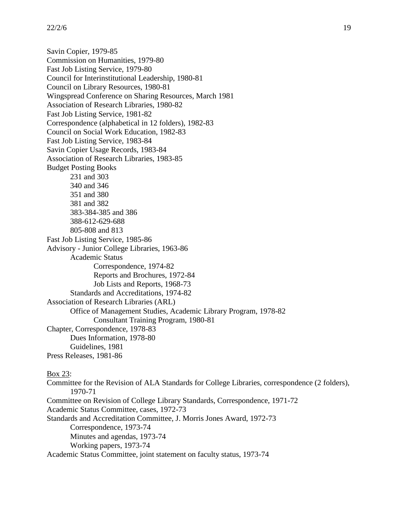Savin Copier, 1979-85 Commission on Humanities, 1979-80 Fast Job Listing Service, 1979-80 Council for Interinstitutional Leadership, 1980-81 Council on Library Resources, 1980-81 Wingspread Conference on Sharing Resources, March 1981 Association of Research Libraries, 1980-82 Fast Job Listing Service, 1981-82 Correspondence (alphabetical in 12 folders), 1982-83 Council on Social Work Education, 1982-83 Fast Job Listing Service, 1983-84 Savin Copier Usage Records, 1983-84 Association of Research Libraries, 1983-85 Budget Posting Books 231 and 303 340 and 346 351 and 380 381 and 382 383-384-385 and 386 388-612-629-688 805-808 and 813 Fast Job Listing Service, 1985-86 Advisory - Junior College Libraries, 1963-86 Academic Status Correspondence, 1974-82 Reports and Brochures, 1972-84 Job Lists and Reports, 1968-73 Standards and Accreditations, 1974-82 Association of Research Libraries (ARL) Office of Management Studies, Academic Library Program, 1978-82 Consultant Training Program, 1980-81 Chapter, Correspondence, 1978-83 Dues Information, 1978-80 Guidelines, 1981 Press Releases, 1981-86 Box 23: Committee for the Revision of ALA Standards for College Libraries, correspondence (2 folders), 1970-71

Committee on Revision of College Library Standards, Correspondence, 1971-72

Academic Status Committee, cases, 1972-73

Standards and Accreditation Committee, J. Morris Jones Award, 1972-73 Correspondence, 1973-74 Minutes and agendas, 1973-74 Working papers, 1973-74 Academic Status Committee, joint statement on faculty status, 1973-74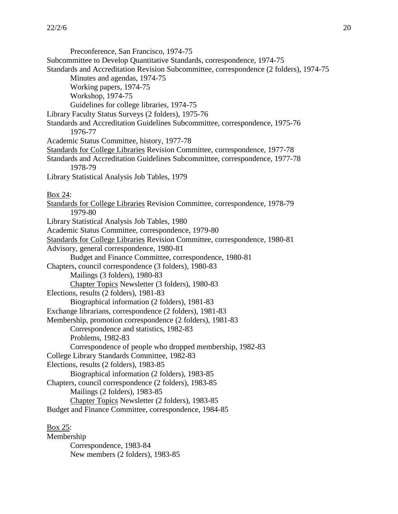Preconference, San Francisco, 1974-75 Subcommittee to Develop Quantitative Standards, correspondence, 1974-75 Standards and Accreditation Revision Subcommittee, correspondence (2 folders), 1974-75 Minutes and agendas, 1974-75 Working papers, 1974-75 Workshop, 1974-75 Guidelines for college libraries, 1974-75 Library Faculty Status Surveys (2 folders), 1975-76 Standards and Accreditation Guidelines Subcommittee, correspondence, 1975-76 1976-77 Academic Status Committee, history, 1977-78 Standards for College Libraries Revision Committee, correspondence, 1977-78 Standards and Accreditation Guidelines Subcommittee, correspondence, 1977-78 1978-79 Library Statistical Analysis Job Tables, 1979 Box 24: Standards for College Libraries Revision Committee, correspondence, 1978-79 1979-80 Library Statistical Analysis Job Tables, 1980 Academic Status Committee, correspondence, 1979-80 Standards for College Libraries Revision Committee, correspondence, 1980-81 Advisory, general correspondence, 1980-81 Budget and Finance Committee, correspondence, 1980-81 Chapters, council correspondence (3 folders), 1980-83 Mailings (3 folders), 1980-83 Chapter Topics Newsletter (3 folders), 1980-83 Elections, results (2 folders), 1981-83 Biographical information (2 folders), 1981-83 Exchange librarians, correspondence (2 folders), 1981-83 Membership, promotion correspondence (2 folders), 1981-83 Correspondence and statistics, 1982-83 Problems, 1982-83 Correspondence of people who dropped membership, 1982-83 College Library Standards Committee, 1982-83 Elections, results (2 folders), 1983-85 Biographical information (2 folders), 1983-85 Chapters, council correspondence (2 folders), 1983-85 Mailings (2 folders), 1983-85 Chapter Topics Newsletter (2 folders), 1983-85 Budget and Finance Committee, correspondence, 1984-85 Box 25: Membership Correspondence, 1983-84 New members (2 folders), 1983-85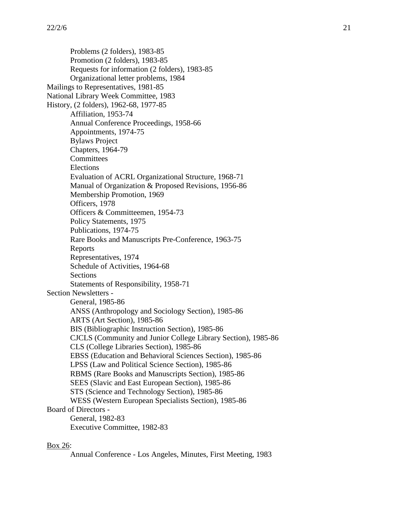Problems (2 folders), 1983-85 Promotion (2 folders), 1983-85 Requests for information (2 folders), 1983-85 Organizational letter problems, 1984 Mailings to Representatives, 1981-85 National Library Week Committee, 1983 History, (2 folders), 1962-68, 1977-85 Affiliation, 1953-74 Annual Conference Proceedings, 1958-66 Appointments, 1974-75 Bylaws Project Chapters, 1964-79 **Committees** Elections Evaluation of ACRL Organizational Structure, 1968-71 Manual of Organization & Proposed Revisions, 1956-86 Membership Promotion, 1969 Officers, 1978 Officers & Committeemen, 1954-73 Policy Statements, 1975 Publications, 1974-75 Rare Books and Manuscripts Pre-Conference, 1963-75 Reports Representatives, 1974 Schedule of Activities, 1964-68 Sections Statements of Responsibility, 1958-71 Section Newsletters - General, 1985-86 ANSS (Anthropology and Sociology Section), 1985-86 ARTS (Art Section), 1985-86 BIS (Bibliographic Instruction Section), 1985-86 CJCLS (Community and Junior College Library Section), 1985-86 CLS (College Libraries Section), 1985-86 EBSS (Education and Behavioral Sciences Section), 1985-86 LPSS (Law and Political Science Section), 1985-86 RBMS (Rare Books and Manuscripts Section), 1985-86 SEES (Slavic and East European Section), 1985-86 STS (Science and Technology Section), 1985-86 WESS (Western European Specialists Section), 1985-86 Board of Directors - General, 1982-83 Executive Committee, 1982-83

## Box 26:

Annual Conference - Los Angeles, Minutes, First Meeting, 1983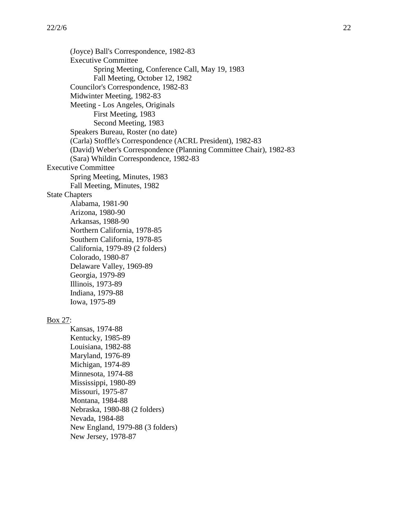(Joyce) Ball's Correspondence, 1982-83 Executive Committee Spring Meeting, Conference Call, May 19, 1983 Fall Meeting, October 12, 1982 Councilor's Correspondence, 1982-83 Midwinter Meeting, 1982-83 Meeting - Los Angeles, Originals First Meeting, 1983 Second Meeting, 1983 Speakers Bureau, Roster (no date) (Carla) Stoffle's Correspondence (ACRL President), 1982-83 (David) Weber's Correspondence (Planning Committee Chair), 1982-83 (Sara) Whildin Correspondence, 1982-83 Executive Committee Spring Meeting, Minutes, 1983 Fall Meeting, Minutes, 1982 State Chapters Alabama, 1981-90 Arizona, 1980-90 Arkansas, 1988-90 Northern California, 1978-85 Southern California, 1978-85 California, 1979-89 (2 folders) Colorado, 1980-87 Delaware Valley, 1969-89 Georgia, 1979-89 Illinois, 1973-89 Indiana, 1979-88 Iowa, 1975-89 Box 27: Kansas, 1974-88 Kentucky, 1985-89 Louisiana, 1982-88 Maryland, 1976-89 Michigan, 1974-89 Minnesota, 1974-88 Mississippi, 1980-89 Missouri, 1975-87 Montana, 1984-88 Nebraska, 1980-88 (2 folders) Nevada, 1984-88 New England, 1979-88 (3 folders) New Jersey, 1978-87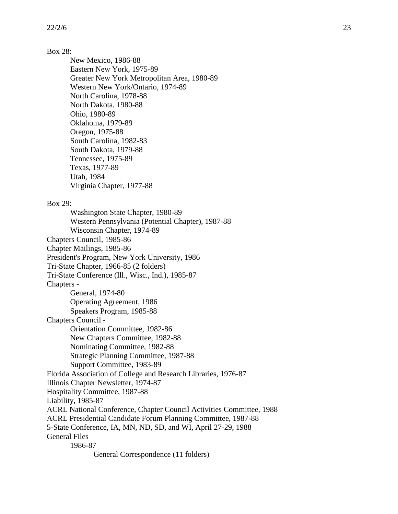## Box 28:

New Mexico, 1986-88 Eastern New York, 1975-89 Greater New York Metropolitan Area, 1980-89 Western New York/Ontario, 1974-89 North Carolina, 1978-88 North Dakota, 1980-88 Ohio, 1980-89 Oklahoma, 1979-89 Oregon, 1975-88 South Carolina, 1982-83 South Dakota, 1979-88 Tennessee, 1975-89 Texas, 1977-89 Utah, 1984 Virginia Chapter, 1977-88

#### Box 29:

Washington State Chapter, 1980-89 Western Pennsylvania (Potential Chapter), 1987-88 Wisconsin Chapter, 1974-89 Chapters Council, 1985-86 Chapter Mailings, 1985-86 President's Program, New York University, 1986 Tri-State Chapter, 1966-85 (2 folders) Tri-State Conference (Ill., Wisc., Ind.), 1985-87 Chapters - General, 1974-80 Operating Agreement, 1986 Speakers Program, 1985-88 Chapters Council - Orientation Committee, 1982-86 New Chapters Committee, 1982-88 Nominating Committee, 1982-88 Strategic Planning Committee, 1987-88 Support Committee, 1983-89 Florida Association of College and Research Libraries, 1976-87 Illinois Chapter Newsletter, 1974-87 Hospitality Committee, 1987-88 Liability, 1985-87 ACRL National Conference, Chapter Council Activities Committee, 1988 ACRL Presidential Candidate Forum Planning Committee, 1987-88 5-State Conference, IA, MN, ND, SD, and WI, April 27-29, 1988 General Files 1986-87 General Correspondence (11 folders)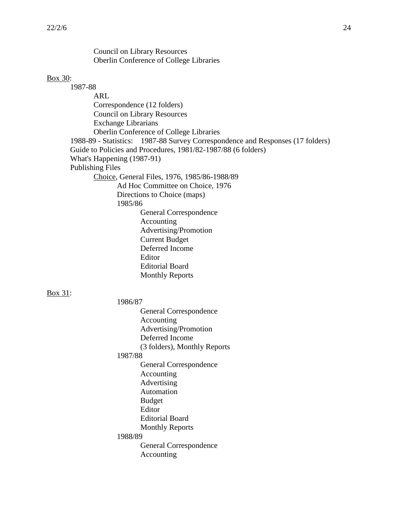Council on Library Resources Oberlin Conference of College Libraries

#### Box 30:

1987-88 ARL Correspondence (12 folders) Council on Library Resources Exchange Librarians Oberlin Conference of College Libraries 1988-89 - Statistics: 1987-88 Survey Correspondence and Responses (17 folders) Guide to Policies and Procedures, 1981/82-1987/88 (6 folders) What's Happening (1987-91) Publishing Files Choice, General Files, 1976, 1985/86-1988/89 Ad Hoc Committee on Choice, 1976 Directions to Choice (maps) 1985/86 General Correspondence Accounting Advertising/Promotion Current Budget Deferred Income Editor Editorial Board Monthly Reports Box 31: 1986/87 General Correspondence Accounting Advertising/Promotion Deferred Income (3 folders), Monthly Reports 1987/88

General Correspondence Accounting Advertising Automation Budget Editor Editorial Board Monthly Reports 1988/89 General Correspondence Accounting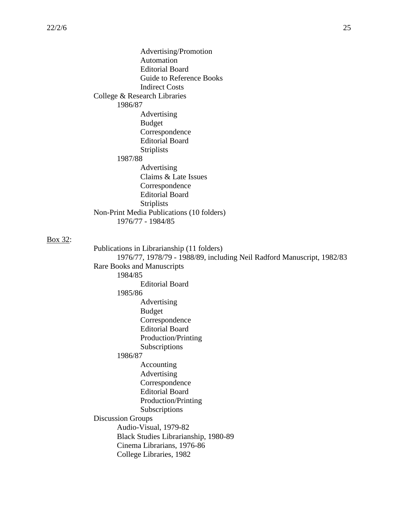Box 32:

Advertising/Promotion Automation Editorial Board Guide to Reference Books Indirect Costs College & Research Libraries 1986/87 Advertising Budget Correspondence Editorial Board Striplists 1987/88 Advertising Claims & Late Issues Correspondence Editorial Board Striplists Non-Print Media Publications (10 folders) 1976/77 - 1984/85 Publications in Librarianship (11 folders) 1976/77, 1978/79 - 1988/89, including Neil Radford Manuscript, 1982/83 Rare Books and Manuscripts 1984/85 Editorial Board 1985/86 Advertising Budget Correspondence Editorial Board Production/Printing Subscriptions 1986/87 Accounting Advertising Correspondence Editorial Board Production/Printing Subscriptions Discussion Groups Audio-Visual, 1979-82 Black Studies Librarianship, 1980-89 Cinema Librarians, 1976-86 College Libraries, 1982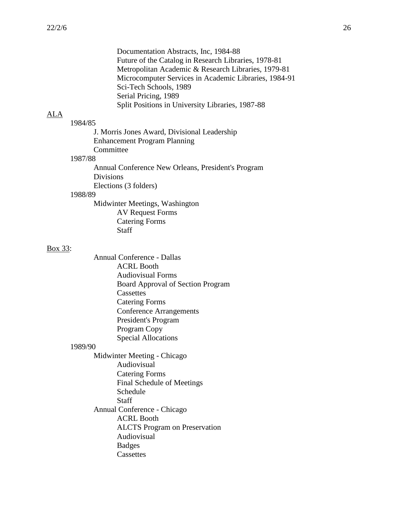Documentation Abstracts, Inc, 1984-88 Future of the Catalog in Research Libraries, 1978-81 Metropolitan Academic & Research Libraries, 1979-81 Microcomputer Services in Academic Libraries, 1984-91 Sci-Tech Schools, 1989 Serial Pricing, 1989 Split Positions in University Libraries, 1987-88

## ALA

1984/85 J. Morris Jones Award, Divisional Leadership Enhancement Program Planning Committee 1987/88 Annual Conference New Orleans, President's Program Divisions Elections (3 folders)

#### 1988/89

Midwinter Meetings, Washington AV Request Forms Catering Forms Staff

#### Box 33:

Annual Conference - Dallas ACRL Booth Audiovisual Forms Board Approval of Section Program **Cassettes** Catering Forms Conference Arrangements President's Program Program Copy Special Allocations

## 1989/90

Midwinter Meeting - Chicago Audiovisual Catering Forms Final Schedule of Meetings Schedule Staff Annual Conference - Chicago ACRL Booth ALCTS Program on Preservation Audiovisual Badges **Cassettes**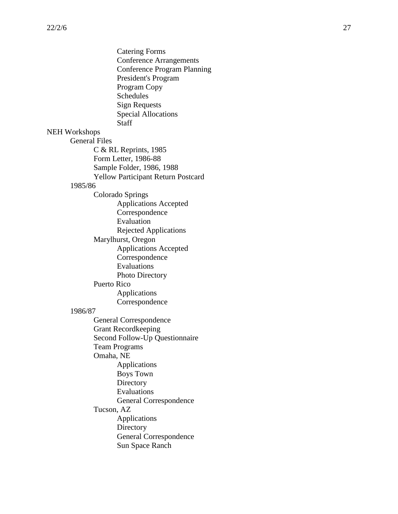|                      | <b>Catering Forms</b><br><b>Conference Arrangements</b><br><b>Conference Program Planning</b><br>President's Program<br>Program Copy<br>Schedules<br><b>Sign Requests</b><br><b>Special Allocations</b><br><b>Staff</b> |
|----------------------|-------------------------------------------------------------------------------------------------------------------------------------------------------------------------------------------------------------------------|
| <b>NEH Workshops</b> |                                                                                                                                                                                                                         |
| <b>General Files</b> |                                                                                                                                                                                                                         |
|                      | $C & R$ RL Reprints, 1985                                                                                                                                                                                               |
|                      | Form Letter, 1986-88                                                                                                                                                                                                    |
|                      | Sample Folder, 1986, 1988                                                                                                                                                                                               |
|                      | <b>Yellow Participant Return Postcard</b>                                                                                                                                                                               |
| 1985/86              |                                                                                                                                                                                                                         |
|                      | Colorado Springs                                                                                                                                                                                                        |
|                      | <b>Applications Accepted</b>                                                                                                                                                                                            |
|                      | Correspondence                                                                                                                                                                                                          |
|                      | Evaluation                                                                                                                                                                                                              |
|                      |                                                                                                                                                                                                                         |
|                      | <b>Rejected Applications</b>                                                                                                                                                                                            |
|                      | Marylhurst, Oregon                                                                                                                                                                                                      |
|                      | <b>Applications Accepted</b>                                                                                                                                                                                            |
|                      | Correspondence                                                                                                                                                                                                          |
|                      | Evaluations                                                                                                                                                                                                             |
|                      | Photo Directory                                                                                                                                                                                                         |
|                      | <b>Puerto Rico</b>                                                                                                                                                                                                      |
|                      | Applications                                                                                                                                                                                                            |
|                      | Correspondence                                                                                                                                                                                                          |
| 1986/87              |                                                                                                                                                                                                                         |
|                      | General Correspondence                                                                                                                                                                                                  |
|                      | <b>Grant Recordkeeping</b>                                                                                                                                                                                              |
|                      | Second Follow-Up Questionnaire                                                                                                                                                                                          |
|                      | <b>Team Programs</b>                                                                                                                                                                                                    |
|                      | Omaha, NE                                                                                                                                                                                                               |
|                      | Applications                                                                                                                                                                                                            |
|                      | <b>Boys Town</b>                                                                                                                                                                                                        |
|                      | Directory                                                                                                                                                                                                               |
|                      | Evaluations                                                                                                                                                                                                             |
|                      | <b>General Correspondence</b>                                                                                                                                                                                           |
|                      | Tucson, AZ                                                                                                                                                                                                              |
|                      | Applications                                                                                                                                                                                                            |
|                      | Directory                                                                                                                                                                                                               |
|                      | <b>General Correspondence</b>                                                                                                                                                                                           |
|                      | <b>Sun Space Ranch</b>                                                                                                                                                                                                  |
|                      |                                                                                                                                                                                                                         |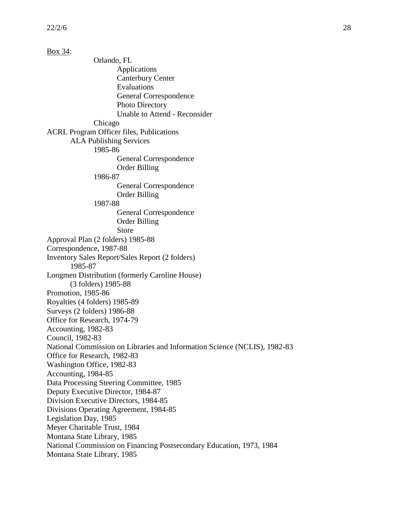Box 34: Orlando, FL Applications Canterbury Center Evaluations General Correspondence Photo Directory Unable to Attend - Reconsider Chicago ACRL Program Officer files, Publications ALA Publishing Services 1985-86 General Correspondence Order Billing 1986-87 General Correspondence Order Billing 1987-88 General Correspondence Order Billing Store Approval Plan (2 folders) 1985-88 Correspondence, 1987-88 Inventory Sales Report/Sales Report (2 folders) 1985-87 Longmen Distribution (formerly Caroline House) (3 folders) 1985-88 Promotion, 1985-86 Royalties (4 folders) 1985-89 Surveys (2 folders) 1986-88 Office for Research, 1974-79 Accounting, 1982-83 Council, 1982-83 National Commission on Libraries and Information Science (NCLIS), 1982-83 Office for Research, 1982-83 Washington Office, 1982-83 Accounting, 1984-85 Data Processing Steering Committee, 1985 Deputy Executive Director, 1984-87 Division Executive Directors, 1984-85 Divisions Operating Agreement, 1984-85 Legislation Day, 1985 Meyer Charitable Trust, 1984 Montana State Library, 1985 National Commission on Financing Postsecondary Education, 1973, 1984 Montana State Library, 1985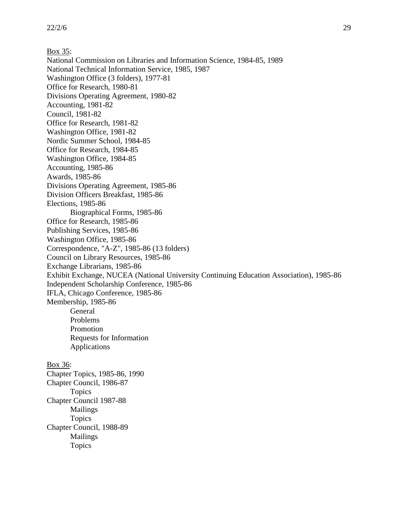Box 35: National Commission on Libraries and Information Science, 1984-85, 1989 National Technical Information Service, 1985, 1987 Washington Office (3 folders), 1977-81 Office for Research, 1980-81 Divisions Operating Agreement, 1980-82 Accounting, 1981-82 Council, 1981-82 Office for Research, 1981-82 Washington Office, 1981-82 Nordic Summer School, 1984-85 Office for Research, 1984-85 Washington Office, 1984-85 Accounting, 1985-86 Awards, 1985-86 Divisions Operating Agreement, 1985-86 Division Officers Breakfast, 1985-86 Elections, 1985-86 Biographical Forms, 1985-86 Office for Research, 1985-86 Publishing Services, 1985-86 Washington Office, 1985-86 Correspondence, "A-Z", 1985-86 (13 folders) Council on Library Resources, 1985-86 Exchange Librarians, 1985-86 Exhibit Exchange, NUCEA (National University Continuing Education Association), 1985-86 Independent Scholarship Conference, 1985-86 IFLA, Chicago Conference, 1985-86 Membership, 1985-86 General Problems Promotion Requests for Information Applications Box 36: Chapter Topics, 1985-86, 1990 Chapter Council, 1986-87 Topics Chapter Council 1987-88 Mailings

Topics Chapter Council, 1988-89 Mailings Topics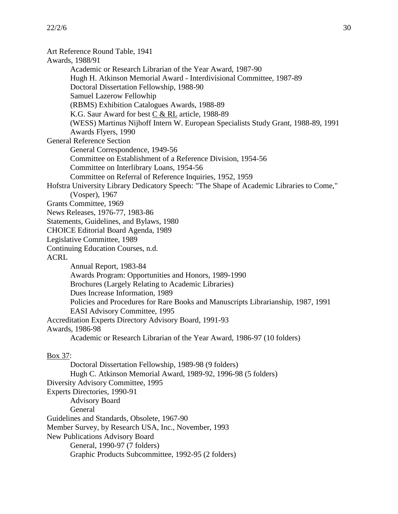Art Reference Round Table, 1941 Awards, 1988/91 Academic or Research Librarian of the Year Award, 1987-90 Hugh H. Atkinson Memorial Award - Interdivisional Committee, 1987-89 Doctoral Dissertation Fellowship, 1988-90 Samuel Lazerow Fellowhip (RBMS) Exhibition Catalogues Awards, 1988-89 K.G. Saur Award for best C & RL article, 1988-89 (WESS) Martinus Nijhoff Intern W. European Specialists Study Grant, 1988-89, 1991 Awards Flyers, 1990 General Reference Section General Correspondence, 1949-56 Committee on Establishment of a Reference Division, 1954-56 Committee on Interlibrary Loans, 1954-56 Committee on Referral of Reference Inquiries, 1952, 1959 Hofstra University Library Dedicatory Speech: "The Shape of Academic Libraries to Come," (Vosper), 1967 Grants Committee, 1969 News Releases, 1976-77, 1983-86 Statements, Guidelines, and Bylaws, 1980 CHOICE Editorial Board Agenda, 1989 Legislative Committee, 1989 Continuing Education Courses, n.d. ACRL Annual Report, 1983-84 Awards Program: Opportunities and Honors, 1989-1990 Brochures (Largely Relating to Academic Libraries) Dues Increase Information, 1989 Policies and Procedures for Rare Books and Manuscripts Librarianship, 1987, 1991 EASI Advisory Committee, 1995 Accreditation Experts Directory Advisory Board, 1991-93 Awards, 1986-98 Academic or Research Librarian of the Year Award, 1986-97 (10 folders) Box 37: Doctoral Dissertation Fellowship, 1989-98 (9 folders) Hugh C. Atkinson Memorial Award, 1989-92, 1996-98 (5 folders) Diversity Advisory Committee, 1995 Experts Directories, 1990-91 Advisory Board General Guidelines and Standards, Obsolete, 1967-90 Member Survey, by Research USA, Inc., November, 1993 New Publications Advisory Board

General, 1990-97 (7 folders)

Graphic Products Subcommittee, 1992-95 (2 folders)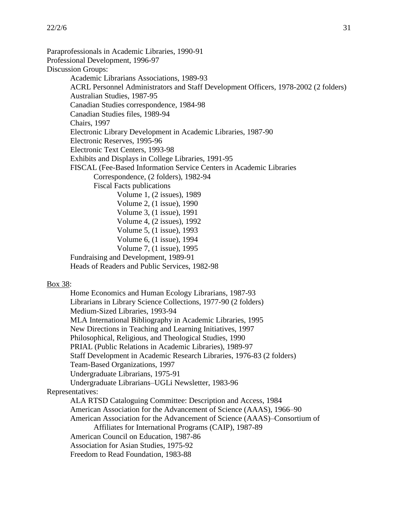Paraprofessionals in Academic Libraries, 1990-91 Professional Development, 1996-97 Discussion Groups: Academic Librarians Associations, 1989-93 ACRL Personnel Administrators and Staff Development Officers, 1978-2002 (2 folders) Australian Studies, 1987-95 Canadian Studies correspondence, 1984-98 Canadian Studies files, 1989-94 Chairs, 1997 Electronic Library Development in Academic Libraries, 1987-90 Electronic Reserves, 1995-96 Electronic Text Centers, 1993-98 Exhibits and Displays in College Libraries, 1991-95 FISCAL (Fee-Based Information Service Centers in Academic Libraries Correspondence, (2 folders), 1982-94 Fiscal Facts publications Volume 1, (2 issues), 1989 Volume 2, (1 issue), 1990 Volume 3, (1 issue), 1991 Volume 4, (2 issues), 1992 Volume 5, (1 issue), 1993 Volume 6, (1 issue), 1994 Volume 7, (1 issue), 1995 Fundraising and Development, 1989-91 Heads of Readers and Public Services, 1982-98 Box 38:

Home Economics and Human Ecology Librarians, 1987-93 Librarians in Library Science Collections, 1977-90 (2 folders) Medium-Sized Libraries, 1993-94 MLA International Bibliography in Academic Libraries, 1995 New Directions in Teaching and Learning Initiatives, 1997 Philosophical, Religious, and Theological Studies, 1990 PRIAL (Public Relations in Academic Libraries), 1989-97 Staff Development in Academic Research Libraries, 1976-83 (2 folders) Team-Based Organizations, 1997 Undergraduate Librarians, 1975-91 Undergraduate Librarians–UGLi Newsletter, 1983-96 Representatives: ALA RTSD Cataloguing Committee: Description and Access, 1984 American Association for the Advancement of Science (AAAS), 1966–90 American Association for the Advancement of Science (AAAS)–Consortium of Affiliates for International Programs (CAIP), 1987-89 American Council on Education, 1987-86 Association for Asian Studies, 1975-92 Freedom to Read Foundation, 1983-88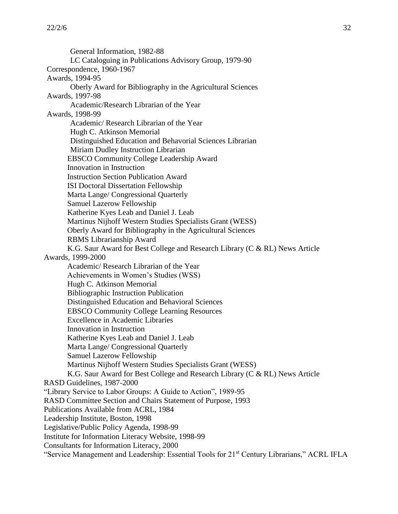General Information, 1982-88 LC Cataloguing in Publications Advisory Group, 1979-90 Correspondence, 1960-1967 Awards, 1994-95 Oberly Award for Bibliography in the Agricultural Sciences Awards, 1997-98 Academic/Research Librarian of the Year Awards, 1998-99 Academic/ Research Librarian of the Year Hugh C. Atkinson Memorial Distinguished Education and Behavorial Sciences Librarian Miriam Dudley Instruction Librarian EBSCO Community College Leadership Award Innovation in Instruction Instruction Section Publication Award ISI Doctoral Dissertation Fellowship Marta Lange/ Congressional Quarterly Samuel Lazerow Fellowship Katherine Kyes Leab and Daniel J. Leab Martinus Nijhoff Western Studies Specialists Grant (WESS) Oberly Award for Bibliography in the Agricultural Sciences RBMS Librarianship Award K.G. Saur Award for Best College and Research Library (C & RL) News Article Awards, 1999-2000 Academic/ Research Librarian of the Year Achievements in Women's Studies (WSS) Hugh C. Atkinson Memorial Bibliographic Instruction Publication Distinguished Education and Behavioral Sciences EBSCO Community College Learning Resources Excellence in Academic Libraries Innovation in Instruction Katherine Kyes Leab and Daniel J. Leab Marta Lange/ Congressional Quarterly Samuel Lazerow Fellowship Martinus Nijhoff Western Studies Specialists Grant (WESS) K.G. Saur Award for Best College and Research Library (C & RL) News Article RASD Guidelines, 1987-2000 "Library Service to Labor Groups: A Guide to Action", 1989-95 RASD Committee Section and Chairs Statement of Purpose, 1993 Publications Available from ACRL, 1984 Leadership Institute, Boston, 1998 Legislative/Public Policy Agenda, 1998-99 Institute for Information Literacy Website, 1998-99 Consultants for Information Literacy, 2000 "Service Management and Leadership: Essential Tools for 21<sup>st</sup> Century Librarians," ACRL IFLA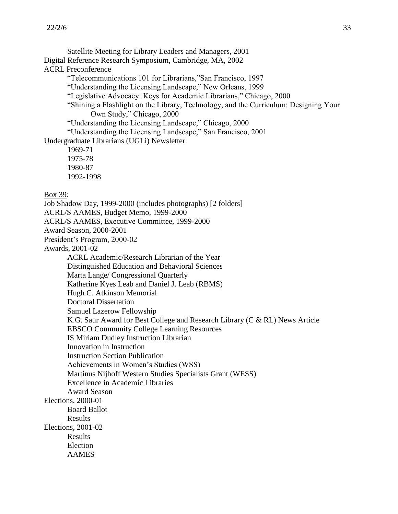Satellite Meeting for Library Leaders and Managers, 2001 Digital Reference Research Symposium, Cambridge, MA, 2002 ACRL Preconference "Telecommunications 101 for Librarians,"San Francisco, 1997 "Understanding the Licensing Landscape," New Orleans, 1999 "Legislative Advocacy: Keys for Academic Librarians," Chicago, 2000 "Shining a Flashlight on the Library, Technology, and the Curriculum: Designing Your Own Study," Chicago, 2000 "Understanding the Licensing Landscape," Chicago, 2000 "Understanding the Licensing Landscape," San Francisco, 2001 Undergraduate Librarians (UGLi) Newsletter 1969-71 1975-78 1980-87 1992-1998 Box 39: Job Shadow Day, 1999-2000 (includes photographs) [2 folders] ACRL/S AAMES, Budget Memo, 1999-2000 ACRL/S AAMES, Executive Committee, 1999-2000 Award Season, 2000-2001 President's Program, 2000-02 Awards, 2001-02 ACRL Academic/Research Librarian of the Year Distinguished Education and Behavioral Sciences Marta Lange/ Congressional Quarterly Katherine Kyes Leab and Daniel J. Leab (RBMS) Hugh C. Atkinson Memorial Doctoral Dissertation Samuel Lazerow Fellowship K.G. Saur Award for Best College and Research Library (C & RL) News Article EBSCO Community College Learning Resources IS Miriam Dudley Instruction Librarian Innovation in Instruction Instruction Section Publication Achievements in Women's Studies (WSS) Martinus Nijhoff Western Studies Specialists Grant (WESS) Excellence in Academic Libraries Award Season Elections, 2000-01 Board Ballot Results Elections, 2001-02 Results Election AAMES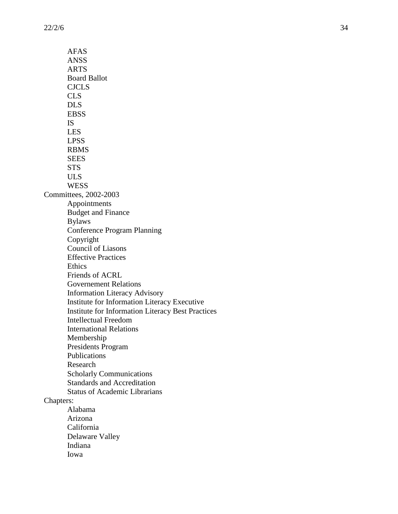AFAS ANSS ARTS Board Ballot CJCLS CLS DLS EBSS IS LES LPSS RBMS **SEES STS** ULS **WESS** Committees, 2002 -2003 Appointments Budget and Finance Bylaws Conference Program Planning Copyright Council of Liasons Effective Practices **Ethics** Friends of ACRL Governement Relations Information Literacy Advisory Institute for Information Literacy Executive Institute for Information Literacy Best Practices Intellectual Freedom International Relations Membership Presidents Program Publications Research Scholarly Communications Standards and Accreditation Status of Academic Librarians Chapters: Alabama Arizona California Delaware Valley

> Indiana Iowa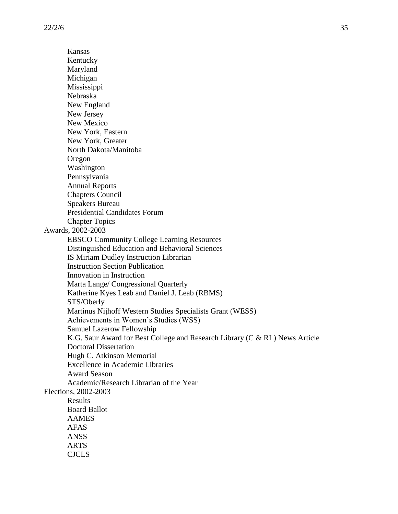Kansas Kentucky Maryland Michigan Mississippi Nebraska New England New Jersey New Mexico New York, Eastern New York, Greater North Dakota/Manitoba Oregon Washington Pennsylvania Annual Reports Chapters Council Speakers Bureau Presidential Candidates Forum Chapter Topics Awards, 2002-2003 EBSCO Community College Learning Resources Distinguished Education and Behavioral Sciences IS Miriam Dudley Instruction Librarian Instruction Section Publication Innovation in Instruction Marta Lange/ Congressional Quarterly Katherine Kyes Leab and Daniel J. Leab (RBMS) STS/Oberly Martinus Nijhoff Western Studies Specialists Grant (WESS) Achievements in Women's Studies (WSS) Samuel Lazerow Fellowship K.G. Saur Award for Best College and Research Library (C & RL) News Article Doctoral Dissertation Hugh C. Atkinson Memorial Excellence in Academic Libraries Award Season Academic/Research Librarian of the Year Elections, 2002-2003 Results Board Ballot AAMES AFAS ANSS ARTS CJCLS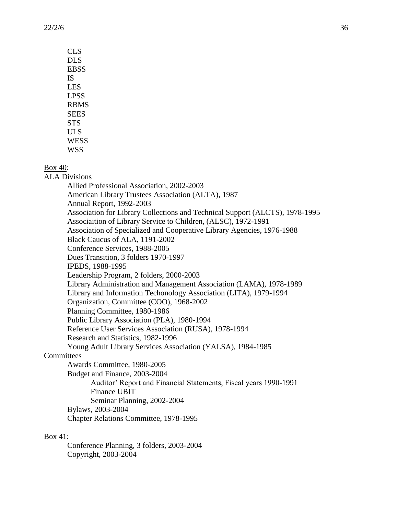| <b>CLS</b>  |
|-------------|
| DL S        |
| EBSS        |
| IS          |
| LES         |
| <b>LPSS</b> |
| <b>RBMS</b> |
| <b>SEES</b> |
| <b>STS</b>  |
| <b>ULS</b>  |
| <b>WESS</b> |
| WSS         |

Box 40:

ALA Divisions

Allied Professional Association, 2002-2003 American Library Trustees Association (ALTA), 1987 Annual Report, 1992-2003 Association for Library Collections and Technical Support (ALCTS), 1978-1995 Associaition of Library Service to Children, (ALSC), 1972-1991 Association of Specialized and Cooperative Library Agencies, 1976-1988 Black Caucus of ALA, 1191-2002 Conference Services, 1988-2005 Dues Transition, 3 folders 1970-1997 IPEDS, 1988-1995 Leadership Program, 2 folders, 2000-2003 Library Administration and Management Association (LAMA), 1978-1989 Library and Information Techonology Association (LITA), 1979-1994 Organization, Committee (COO), 1968-2002 Planning Committee, 1980-1986 Public Library Association (PLA), 1980-1994 Reference User Services Association (RUSA), 1978-1994 Research and Statistics, 1982-1996 Young Adult Library Services Association (YALSA), 1984-1985 **Committees** Awards Committee, 1980-2005 Budget and Finance, 2003-2004 Auditor' Report and Financial Statements, Fiscal years 1990-1991 Finance UBIT Seminar Planning, 2002-2004 Bylaws, 2003-2004 Chapter Relations Committee, 1978-1995

#### Box 41:

Conference Planning, 3 folders, 2003-2004 Copyright, 2003-2004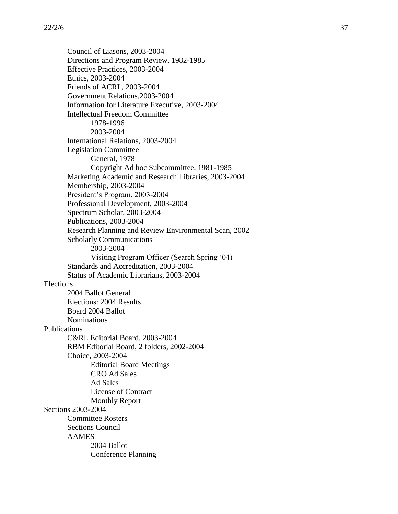Council of Liasons, 2003-2004 Directions and Program Review, 1982-1985 Effective Practices, 2003-2004 Ethics, 2003-2004 Friends of ACRL, 2003-2004 Government Relations,2003-2004 Information for Literature Executive, 2003-2004 Intellectual Freedom Committee 1978-1996 2003-2004 International Relations, 2003-2004 Legislation Committee General, 1978 Copyright Ad hoc Subcommittee, 1981-1985 Marketing Academic and Research Libraries, 2003-2004 Membership, 2003-2004 President's Program, 2003-2004 Professional Development, 2003-2004 Spectrum Scholar, 2003-2004 Publications, 2003-2004 Research Planning and Review Environmental Scan, 2002 Scholarly Communications 2003-2004 Visiting Program Officer (Search Spring '04) Standards and Accreditation, 2003-2004 Status of Academic Librarians, 2003-2004 Elections 2004 Ballot General Elections: 2004 Results Board 2004 Ballot Nominations Publications C&RL Editorial Board, 2003-2004 RBM Editorial Board, 2 folders, 2002-2004 Choice, 2003-2004 Editorial Board Meetings CRO Ad Sales Ad Sales License of Contract Monthly Report Sections 2003-2004 Committee Rosters Sections Council AAMES 2004 Ballot Conference Planning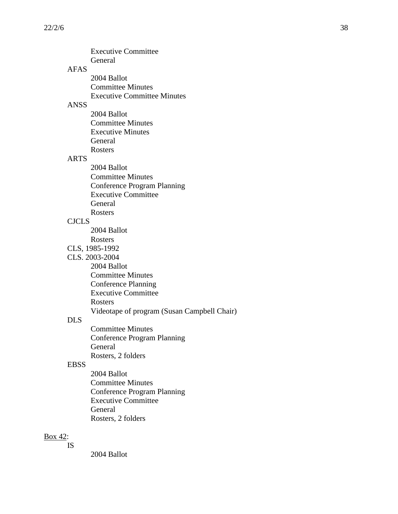|              | <b>Executive Committee</b>                  |
|--------------|---------------------------------------------|
|              | General                                     |
| AFAS         |                                             |
|              | 2004 Ballot                                 |
|              | <b>Committee Minutes</b>                    |
|              | <b>Executive Committee Minutes</b>          |
| <b>ANSS</b>  |                                             |
|              | 2004 Ballot                                 |
|              | <b>Committee Minutes</b>                    |
|              | <b>Executive Minutes</b>                    |
|              | General                                     |
|              | <b>Rosters</b>                              |
| <b>ARTS</b>  |                                             |
|              | 2004 Ballot                                 |
|              | <b>Committee Minutes</b>                    |
|              | <b>Conference Program Planning</b>          |
|              | <b>Executive Committee</b>                  |
|              | General                                     |
|              | Rosters                                     |
| <b>CJCLS</b> |                                             |
|              | 2004 Ballot                                 |
|              | Rosters                                     |
|              | CLS, 1985-1992                              |
|              | CLS. 2003-2004                              |
|              | 2004 Ballot                                 |
|              | <b>Committee Minutes</b>                    |
|              | <b>Conference Planning</b>                  |
|              | <b>Executive Committee</b>                  |
|              | Rosters                                     |
|              | Videotape of program (Susan Campbell Chair) |
| <b>DLS</b>   |                                             |
|              | <b>Committee Minutes</b>                    |
|              | <b>Conference Program Planning</b>          |
|              | General                                     |
|              | Rosters, 2 folders                          |
| <b>EBSS</b>  |                                             |
|              | 2004 Ballot                                 |
|              | <b>Committee Minutes</b>                    |
|              | <b>Conference Program Planning</b>          |
|              | <b>Executive Committee</b>                  |
|              | General                                     |
|              | Rosters, 2 folders                          |
|              |                                             |
|              |                                             |

### Box 42: IS

2004 Ballot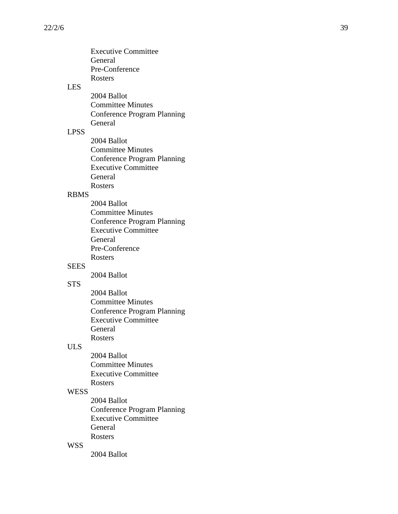|             | <b>Executive Committee</b>         |
|-------------|------------------------------------|
|             | General                            |
|             | Pre-Conference                     |
|             | Rosters                            |
| <b>LES</b>  |                                    |
|             | 2004 Ballot                        |
|             | <b>Committee Minutes</b>           |
|             |                                    |
|             | <b>Conference Program Planning</b> |
|             | General                            |
| <b>LPSS</b> |                                    |
|             | 2004 Ballot                        |
|             | <b>Committee Minutes</b>           |
|             | <b>Conference Program Planning</b> |
|             | <b>Executive Committee</b>         |
|             | General                            |
|             | Rosters                            |
| <b>RBMS</b> |                                    |
|             | 2004 Ballot                        |
|             | <b>Committee Minutes</b>           |
|             | <b>Conference Program Planning</b> |
|             | <b>Executive Committee</b>         |
|             | General                            |
|             | Pre-Conference                     |
|             | <b>Rosters</b>                     |
| <b>SEES</b> |                                    |
|             | 2004 Ballot                        |
|             |                                    |
| <b>STS</b>  |                                    |
|             | 2004 Ballot                        |
|             | <b>Committee Minutes</b>           |
|             | <b>Conference Program Planning</b> |
|             | <b>Executive Committee</b>         |
|             | General                            |
|             | Rosters                            |
| ULS         |                                    |
|             | 2004 Ballot                        |
|             | <b>Committee Minutes</b>           |
|             | <b>Executive Committee</b>         |
|             | <b>Rosters</b>                     |
| <b>WESS</b> |                                    |
|             | 2004 Ballot                        |
|             | <b>Conference Program Planning</b> |
|             | <b>Executive Committee</b>         |
|             | General                            |
|             |                                    |
|             | Rosters                            |

## WSS

2004 Ballot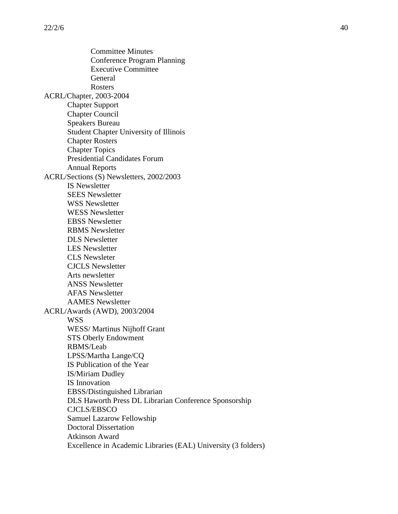Committee Minutes Conference Program Planning Executive Committee General Rosters ACRL/Chapter, 2003-2004 Chapter Support Chapter Council Speakers Bureau Student Chapter University of Illinois Chapter Rosters Chapter Topics Presidential Candidates Forum Annual Reports ACRL/Sections (S) Newsletters, 2002/2003 IS Newsletter SEES Newsletter WSS Newsletter WESS Newsletter EBSS Newsletter RBMS Newsletter DLS Newsletter LES Newsletter CLS Newsleter CJCLS Newsletter Arts newsletter ANSS Newsletter AFAS Newsletter AAMES Newsletter ACRL/Awards (AWD), 2003/2004 WSS WESS/ Martinus Nijhoff Grant STS Oberly Endowment RBMS/Leab LPSS/Martha Lange/CQ IS Publication of the Year IS/Miriam Dudley IS Innovation EBSS/Distinguished Librarian DLS Haworth Press DL Librarian Conference Sponsorship CJCLS/EBSCO Samuel Lazarow Fellowship Doctoral Dissertation Atkinson Award Excellence in Academic Libraries (EAL) University (3 folders)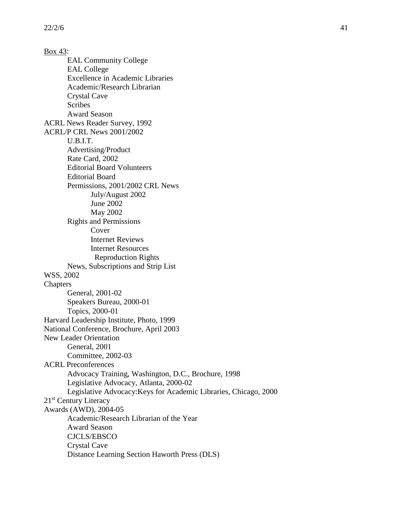Box 43: EAL Community College EAL College Excellence in Academic Libraries Academic/Research Librarian Crystal Cave **Scribes** Award Season ACRL News Reader Survey, 1992 ACRL/P CRL News 2001/2002 U.B.I.T. Advertising/Product Rate Card, 2002 Editorial Board Volunteers Editorial Board Permissions, 2001/2002 CRL News July/August 2002 June 2002 May 2002 Rights and Permissions Cover Internet Reviews Internet Resources Reproduction Rights News, Subscriptions and Strip List WSS, 2002 Chapters General, 2001-02 Speakers Bureau, 2000-01 Topics, 2000-01 Harvard Leadership Institute, Photo, 1999 National Conference, Brochure, April 2003 New Leader Orientation General, 2001 Committee, 2002-03 ACRL Preconferences Advocacy Training, Washington, D.C., Brochure, 1998 Legislative Advocacy, Atlanta, 2000-02 Legislative Advocacy:Keys for Academic Libraries, Chicago, 2000 21<sup>st</sup> Century Literacy Awards (AWD), 2004-05 Academic/Research Librarian of the Year Award Season CJCLS/EBSCO Crystal Cave Distance Learning Section Haworth Press (DLS)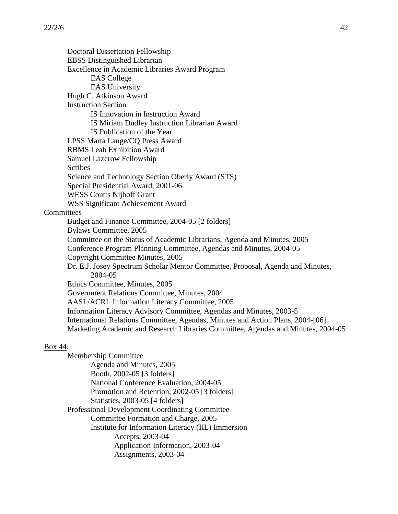Doctoral Dissertation Fellowship EBSS Distinguished Librarian Excellence in Academic Libraries Award Program EAS College EAS University Hugh C. Atkinson Award Instruction Section IS Innovation in Instruction Award IS Miriam Dudley Instruction Librarian Award IS Publication of the Year LPSS Marta Lange/CQ Press Award RBMS Leab Exhibition Award Samuel Lazerow Fellowship Scribes Science and Technology Section Oberly Award (STS) Special Presidential Award, 2001-06 WESS Coutts Nijhoff Grant WSS Significant Achievement Award **Committees** Budget and Finance Committee, 2004-05 [2 folders] Bylaws Committee, 2005 Committee on the Status of Academic Librarians, Agenda and Minutes, 2005 Conference Program Planning Committee, Agendas and Minutes, 2004-05 Copyright Committee Minutes, 2005 Dr. E.J. Josey Spectrum Scholar Mentor Committee, Proposal, Agenda and Minutes, 2004-05 Ethics Committee, Minutes, 2005 Government Relations Committee, Minutes, 2004 AASL/ACRL Information Literacy Committee, 2005 Information Literacy Advisory Committee, Agendas and Minutes, 2003-5 International Relations Committee, Agendas, Minutes and Action Plans, 2004-[06] Marketing Academic and Research Libraries Committee, Agendas and Minutes, 2004-05

## Box 44:

Membership Committee Agenda and Minutes, 2005 Booth, 2002-05 [3 folders] National Conference Evaluation, 2004-05 Promotion and Retention, 2002-05 [3 folders] Statistics, 2003-05 [4 folders] Professional Development Coordinating Committee Committee Formation and Charge, 2005 Institute for Information Literacy (IIL) Immersion Accepts, 2003-04 Application Information, 2003-04 Assignments, 2003-04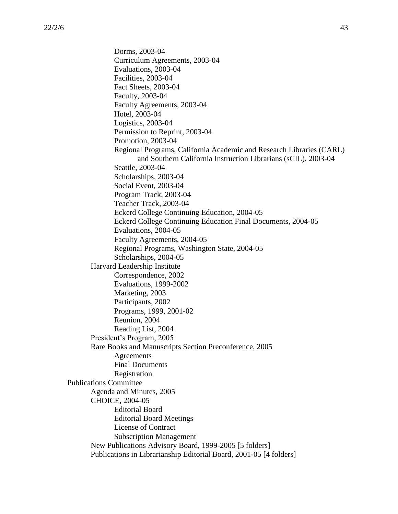Dorms, 2003-04 Curriculum Agreements, 2003-04 Evaluations, 2003-04 Facilities, 2003-04 Fact Sheets, 2003-04 Faculty, 2003-04 Faculty Agreements, 2003-04 Hotel, 2003-04 Logistics, 2003-04 Permission to Reprint, 2003-04 Promotion, 2003-04 Regional Programs, California Academic and Research Libraries (CARL) and Southern California Instruction Librarians (sCIL), 2003-04 Seattle, 2003-04 Scholarships, 2003-04 Social Event, 2003-04 Program Track, 2003-04 Teacher Track, 2003-04 Eckerd College Continuing Education, 2004-05 Eckerd College Continuing Education Final Documents, 2004-05 Evaluations, 2004-05 Faculty Agreements, 2004-05 Regional Programs, Washington State, 2004-05 Scholarships, 2004-05 Harvard Leadership Institute Correspondence, 2002 Evaluations, 1999-2002 Marketing, 2003 Participants, 2002 Programs, 1999, 2001-02 Reunion, 2004 Reading List, 2004 President's Program, 2005 Rare Books and Manuscripts Section Preconference, 2005 **Agreements** Final Documents Registration Publications Committee Agenda and Minutes, 2005 CHOICE, 2004-05 Editorial Board Editorial Board Meetings License of Contract Subscription Management New Publications Advisory Board, 1999-2005 [5 folders] Publications in Librarianship Editorial Board, 2001-05 [4 folders]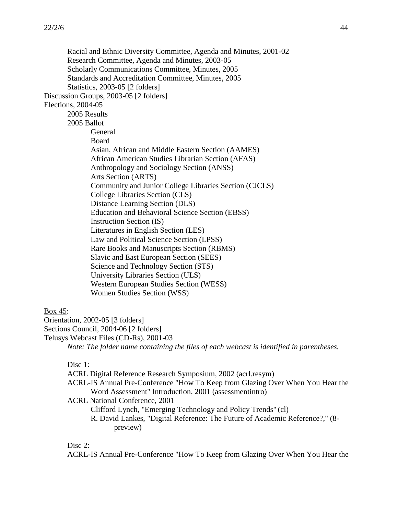Racial and Ethnic Diversity Committee, Agenda and Minutes, 2001-02 Research Committee, Agenda and Minutes, 2003-05 Scholarly Communications Committee, Minutes, 2005 Standards and Accreditation Committee, Minutes, 2005 Statistics, 2003-05 [2 folders] Discussion Groups, 2003-05 [2 folders] Elections, 2004-05 2005 Results 2005 Ballot General Board Asian, African and Middle Eastern Section (AAMES) African American Studies Librarian Section (AFAS) Anthropology and Sociology Section (ANSS) Arts Section (ARTS) Community and Junior College Libraries Section (CJCLS) College Libraries Section (CLS) Distance Learning Section (DLS) Education and Behavioral Science Section (EBSS) Instruction Section (IS) Literatures in English Section (LES) Law and Political Science Section (LPSS) Rare Books and Manuscripts Section (RBMS) Slavic and East European Section (SEES) Science and Technology Section (STS) University Libraries Section (ULS) Western European Studies Section (WESS) Women Studies Section (WSS)

## Box 45:

Orientation, 2002-05 [3 folders] Sections Council, 2004-06 [2 folders]

Telusys Webcast Files (CD-Rs), 2001-03 *Note: The folder name containing the files of each webcast is identified in parentheses.*

Disc 1:

ACRL Digital Reference Research Symposium, 2002 (acrl.resym) ACRL-IS Annual Pre-Conference "How To Keep from Glazing Over When You Hear the Word Assessment" Introduction, 2001 (assessmentintro) ACRL National Conference, 2001 Clifford Lynch, "Emerging Technology and Policy Trends" (cl) R. David Lankes, "Digital Reference: The Future of Academic Reference?," (8 preview)

Disc 2:

ACRL-IS Annual Pre-Conference "How To Keep from Glazing Over When You Hear the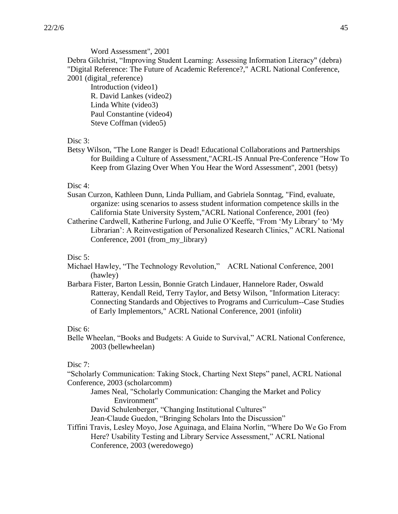Word Assessment", 2001

Debra Gilchrist, "Improving Student Learning: Assessing Information Literacy" (debra) "Digital Reference: The Future of Academic Reference?," ACRL National Conference, 2001 (digital\_reference)

Introduction (video1) R. David Lankes (video2) Linda White (video3) Paul Constantine (video4) Steve Coffman (video5)

## Disc 3:

Betsy Wilson, "The Lone Ranger is Dead! Educational Collaborations and Partnerships for Building a Culture of Assessment,"ACRL-IS Annual Pre-Conference "How To Keep from Glazing Over When You Hear the Word Assessment", 2001 (betsy)

## Disc 4:

- Susan Curzon, Kathleen Dunn, Linda Pulliam, and Gabriela Sonntag, "Find, evaluate, organize: using scenarios to assess student information competence skills in the California State University System,"ACRL National Conference, 2001 (feo)
- Catherine Cardwell, Katherine Furlong, and Julie O'Keeffe, "From 'My Library' to 'My Librarian': A Reinvestigation of Personalized Research Clinics," ACRL National Conference, 2001 (from\_my\_library)

## Disc 5:

- Michael Hawley, "The Technology Revolution," ACRL National Conference, 2001 (hawley)
- Barbara Fister, Barton Lessin, Bonnie Gratch Lindauer, Hannelore Rader, Oswald Ratteray, Kendall Reid, Terry Taylor, and Betsy Wilson, "Information Literacy: Connecting Standards and Objectives to Programs and Curriculum--Case Studies of Early Implementors," ACRL National Conference, 2001 (infolit)

#### Disc 6:

Belle Wheelan, "Books and Budgets: A Guide to Survival," ACRL National Conference, 2003 (bellewheelan)

## Disc 7:

"Scholarly Communication: Taking Stock, Charting Next Steps" panel, ACRL National Conference, 2003 (scholarcomm)

James Neal, "Scholarly Communication: Changing the Market and Policy Environment"

David Schulenberger, "Changing Institutional Cultures"

Jean-Claude Guedon, "Bringing Scholars Into the Discussion"

Tiffini Travis, Lesley Moyo, Jose Aguinaga, and Elaina Norlin, "Where Do We Go From Here? Usability Testing and Library Service Assessment," ACRL National Conference, 2003 (weredowego)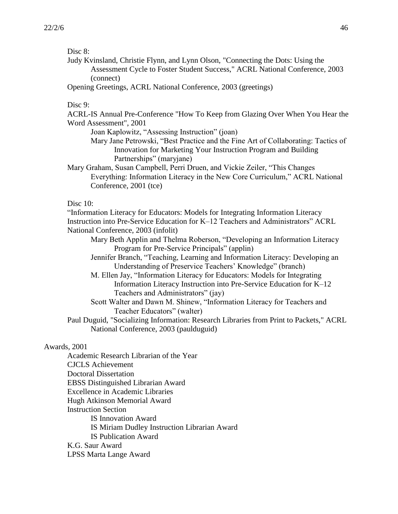Disc 8:

Judy Kvinsland, Christie Flynn, and Lynn Olson, "Connecting the Dots: Using the Assessment Cycle to Foster Student Success," ACRL National Conference, 2003 (connect)

Opening Greetings, ACRL National Conference, 2003 (greetings)

Disc 9:

ACRL-IS Annual Pre-Conference "How To Keep from Glazing Over When You Hear the Word Assessment", 2001

Joan Kaplowitz, "Assessing Instruction" (joan)

Mary Jane Petrowski, "Best Practice and the Fine Art of Collaborating: Tactics of Innovation for Marketing Your Instruction Program and Building Partnerships" (maryjane)

Mary Graham, Susan Campbell, Perri Druen, and Vickie Zeiler, "This Changes Everything: Information Literacy in the New Core Curriculum," ACRL National Conference, 2001 (tce)

Disc 10:

"Information Literacy for Educators: Models for Integrating Information Literacy Instruction into Pre-Service Education for K–12 Teachers and Administrators" ACRL National Conference, 2003 (infolit)

Mary Beth Applin and Thelma Roberson, "Developing an Information Literacy Program for Pre-Service Principals" (applin)

Jennifer Branch, "Teaching, Learning and Information Literacy: Developing an Understanding of Preservice Teachers' Knowledge" (branch)

M. Ellen Jay, "Information Literacy for Educators: Models for Integrating Information Literacy Instruction into Pre-Service Education for K–12 Teachers and Administrators" (jay)

Scott Walter and Dawn M. Shinew, "Information Literacy for Teachers and Teacher Educators" (walter)

Paul Duguid, "Socializing Information: Research Libraries from Print to Packets," ACRL National Conference, 2003 (paulduguid)

## Awards, 2001

Academic Research Librarian of the Year CJCLS Achievement Doctoral Dissertation EBSS Distinguished Librarian Award Excellence in Academic Libraries Hugh Atkinson Memorial Award Instruction Section IS Innovation Award IS Miriam Dudley Instruction Librarian Award IS Publication Award K.G. Saur Award LPSS Marta Lange Award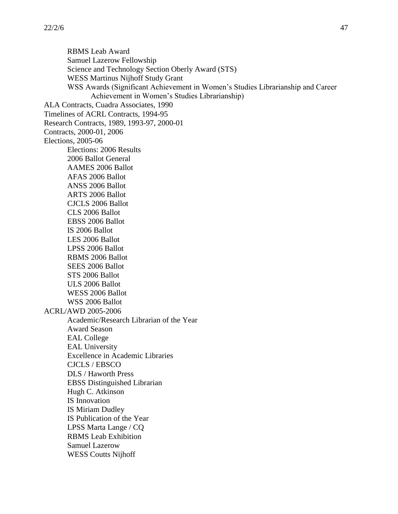RBMS Leab Award Samuel Lazerow Fellowship Science and Technology Section Oberly Award (STS) WESS Martinus Nijhoff Study Grant WSS Awards (Significant Achievement in Women's Studies Librarianship and Career Achievement in Women's Studies Librarianship) ALA Contracts, Cuadra Associates, 1990 Timelines of ACRL Contracts, 1994-95 Research Contracts, 1989, 1993-97, 2000-01 Contracts, 2000-01, 2006 Elections, 2005-06 Elections: 2006 Results 2006 Ballot General AAMES 2006 Ballot AFAS 2006 Ballot ANSS 2006 Ballot ARTS 2006 Ballot CJCLS 2006 Ballot CLS 2006 Ballot EBSS 2006 Ballot IS 2006 Ballot LES 2006 Ballot LPSS 2006 Ballot RBMS 2006 Ballot SEES 2006 Ballot STS 2006 Ballot ULS 2006 Ballot WESS 2006 Ballot WSS 2006 Ballot ACRL/AWD 2005-2006 Academic/Research Librarian of the Year Award Season EAL College EAL University Excellence in Academic Libraries CJCLS / EBSCO DLS / Haworth Press EBSS Distinguished Librarian Hugh C. Atkinson IS Innovation IS Miriam Dudley IS Publication of the Year LPSS Marta Lange / CQ RBMS Leab Exhibition Samuel Lazerow WESS Coutts Nijhoff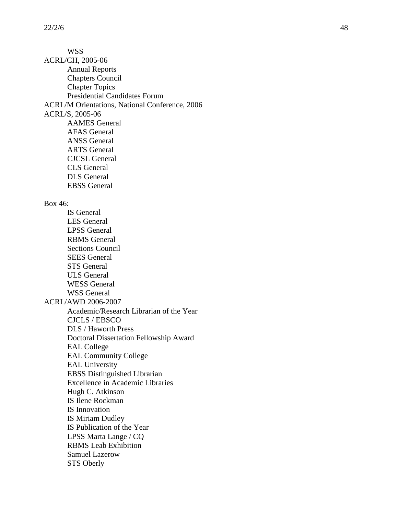WSS ACRL/CH, 2005 -06 Annual Reports Chapters Council Chapter Topics Presidential Candidates Forum ACRL/M Orientations, National Conference, 2006 ACRL/S, 2005 -06 AAMES General AFAS General ANSS General ARTS General CJCSL General CLS General DLS General EBSS General Box 46: IS General LES General LPSS General RBMS General Sections Council SEES General STS General ULS General WESS General WSS General ACRL/AWD 2006 -2007 Academic/Research Librarian of the Year CJCLS / EBSCO DLS / Haworth Press Doctoral Dissertation Fellowship Award EAL College EAL Community College EAL University EBSS Distinguished Librarian Excellence in Academic Libraries Hugh C. Atkinson IS Ilene Rockman IS Innovation IS Miriam Dudley IS Publication of the Year LPSS Marta Lange / CQ RBMS Leab Exhibition Samuel Lazerow STS Oberly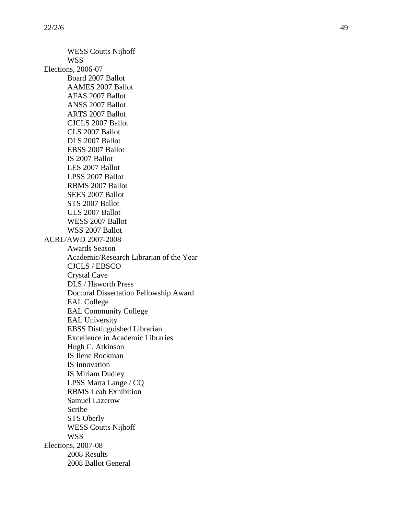WESS Coutts Nijhoff WSS Elections, 2006 -07 Board 2007 Ballot AAMES 2007 Ballot AFAS 2007 Ballot ANSS 2007 Ballot ARTS 2007 Ballot CJCLS 2007 Ballot CLS 2007 Ballot DLS 2007 Ballot EBSS 2007 Ballot IS 2007 Ballot LES 2007 Ballo t LPSS 2007 Ballot RBMS 2007 Ballot SEES 2007 Ballot STS 2007 Ballot ULS 2007 Ballot WESS 2007 Ballot WSS 2007 Ballot ACRL/AWD 2007 -2008 Awards Season Academic/Research Librarian of the Year CJCLS / EBSCO Crystal Cave DLS / Haworth Press Doctoral Dissertation Fellowship Award EAL College EAL Community College EAL University EBSS Distinguished Librarian Excellence in Academic Libraries Hugh C. Atkinson IS Ilene Rockman IS Innovation IS Miriam Dudley LPSS Marta Lange / CQ RBMS Leab Exhibition Samuel Lazerow Scribe STS Oberly WESS Coutts Nijhoff WSS Elections, 2007 -08 2008 Results 2008 Ballot General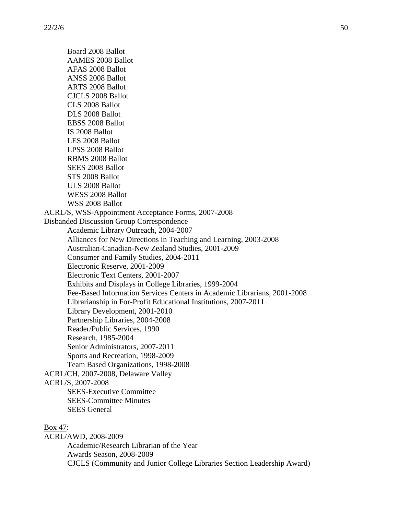Board 2008 Ballot AAMES 2008 Ballot AFAS 2008 Ballot ANSS 2008 Ballot ARTS 2008 Ballot CJCLS 2008 Ballot CLS 2008 Ballot DLS 2008 Ballot EBSS 2008 Ballot IS 2008 Ballot LES 2008 Ballot LPSS 2008 Ballot RBMS 2008 Ballot SEES 2008 Ballot STS 2008 Ballot ULS 2008 Ballot WESS 2008 Ballot WSS 2008 Ballot ACRL/S, WSS-Appointment Acceptance Forms, 2007-2008 Disbanded Discussion Group Correspondence Academic Library Outreach, 2004-2007 Alliances for New Directions in Teaching and Learning, 2003-2008 Australian-Canadian-New Zealand Studies, 2001-2009 Consumer and Family Studies, 2004-2011 Electronic Reserve, 2001-2009 Electronic Text Centers, 2001-2007 Exhibits and Displays in College Libraries, 1999-2004 Fee-Based Information Services Centers in Academic Librarians, 2001-2008 Librarianship in For-Profit Educational Institutions, 2007-2011 Library Development, 2001-2010 Partnership Libraries, 2004-2008 Reader/Public Services, 1990 Research, 1985-2004 Senior Administrators, 2007-2011 Sports and Recreation, 1998-2009 Team Based Organizations, 1998-2008 ACRL/CH, 2007-2008, Delaware Valley ACRL/S, 2007-2008 SEES-Executive Committee SEES-Committee Minutes SEES General Box 47:

ACRL/AWD, 2008-2009 Academic/Research Librarian of the Year Awards Season, 2008-2009 CJCLS (Community and Junior College Libraries Section Leadership Award)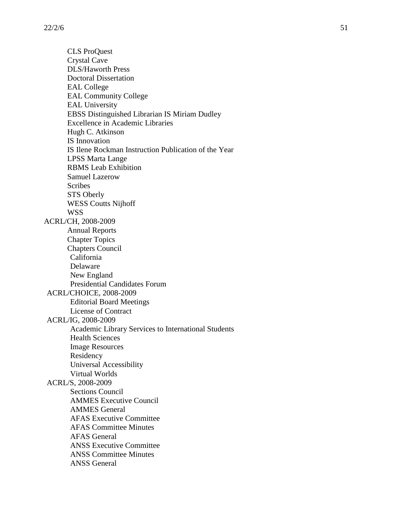CLS ProQuest Crystal Cave DLS/Haworth Press Doctoral Dissertation EAL College EAL Community College EAL University EBSS Distinguished Librarian IS Miriam Dudley Excellence in Academic Libraries Hugh C. Atkinson IS Innovation IS Ilene Rockman Instruction Publication of the Year LPSS Marta Lange RBMS Leab Exhibition Samuel Lazerow Scribes STS Oberly WESS Coutts Nijhoff WSS ACRL/CH, 2008 -2009 Annual Reports Chapter Topics Chapters Council California Delaware New England Presidential Candidates Forum ACRL/CHOICE, 2008 -2009 Editorial Board Meetings License of Contract ACRL/IG, 2008 -2009 Academic Library Services to International Students Health Sciences Image Resources Residency Universal Accessibility Virtual Worlds ACRL/S, 2008 -2009 Sections Council AMMES Executive Council AMMES General AFAS Executive Committee AFAS Committee Minutes AFAS General ANSS Executive Committee ANSS Committee Minutes ANSS General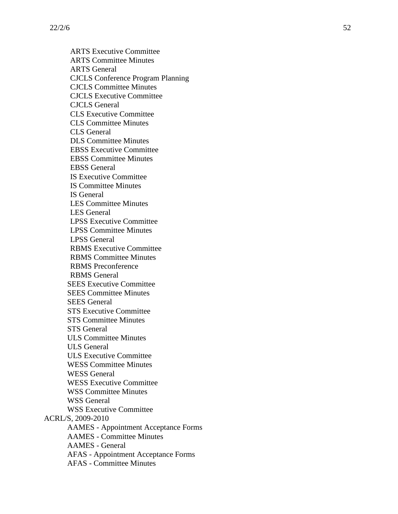ARTS Executive Committee ARTS Committee Minutes ARTS General CJCLS Conference Program Planning CJCLS Committee Minutes CJCLS Executive Committee CJCLS General CLS Executive Committee CLS Committee Minutes CLS General DLS Committee Minutes EBSS Executive Committee EBSS Committee Minutes EBSS General IS Executive Committee IS Committee Minutes IS General LES Committee Minutes LES General LPSS Executive Committee LPSS Committee Minutes LPSS General RBMS Executive Committee RBMS Committee Minutes RBMS Preconference RBMS General SEES Executive Committee SEES Committee Minutes SEES General STS Executive Committee STS Committee Minutes STS General ULS Committee Minutes ULS General ULS Executive Committee WESS Committee Minutes WESS General WESS Executive Committee WSS Committee Minutes WSS General WSS Executive Committee ACRL/S, 2009 -2010 AAMES - Appointment Acceptance Forms AAMES - Committee Minutes AAMES - General AFAS - Appointment Acceptance Forms AFAS - Committee Minutes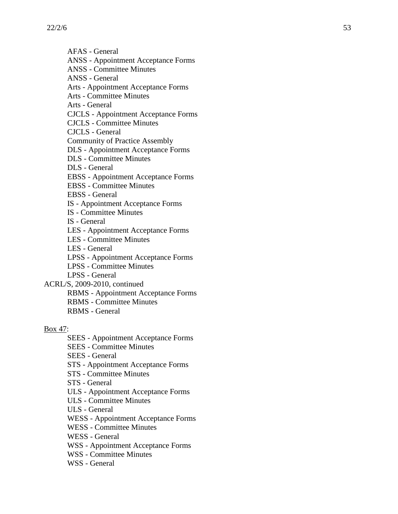$22/2/6$  53

AFAS - General

ANSS - Appointment Acceptance Forms

ANSS - Committee Minutes

ANSS - General

Arts - Appointment Acceptance Forms

Arts - Committee Minutes

Arts - General

CJCLS - Appointment Acceptance Forms

CJCLS - Committee Minutes

CJCLS - General

Community of Practice Assembly

DLS - Appointment Acceptance Forms

DLS - Committee Minutes

DLS - General

EBSS - Appointment Acceptance Forms

EBSS - Committee Minutes

EBSS - General

IS - Appointment Acceptance Forms

IS - Committee Minutes

IS - General

LES - Appointment Acceptance Forms

LES - Committee Minutes

LES - General

LPSS - Appointment Acceptance Forms

LPSS - Committee Minutes

LPSS - General

ACRL/S, 2009 -2010, continued

RBMS - Appointment Acceptance Forms

RBMS - Committee Minutes

RBMS - General

Box 47:

SEES - Appointment Acceptance Forms

SEES - Committee Minutes

SEES - General

STS - Appointment Acceptance Forms

STS - Committee Minutes

STS - General

ULS - Appointment Acceptance Forms

ULS - Committee Minutes

ULS - General

WESS - Appointment Acceptance Forms

WESS - Committee Minutes

WESS - General

WSS - Appointment Acceptance Forms

WSS - Committee Minutes

WSS - General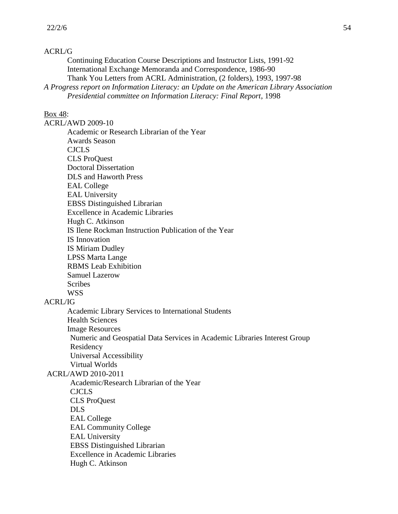## ACRL/G

Continuing Education Course Descriptions and Instructor Lists, 1991-92 International Exchange Memoranda and Correspondence, 1986-90 Thank You Letters from ACRL Administration, (2 folders), 1993, 1997-98 *A Progress report on Information Literacy: an Update on the American Library Association* 

*Presidential committee on Information Literacy: Final Report*, 1998

### Box 48:

ACRL/AWD 2009-10 Academic or Research Librarian of the Year Awards Season CJCLS CLS ProQuest Doctoral Dissertation DLS and Haworth Press EAL College EAL University EBSS Distinguished Librarian Excellence in Academic Libraries Hugh C. Atkinson IS Ilene Rockman Instruction Publication of the Year IS Innovation IS Miriam Dudley LPSS Marta Lange RBMS Leab Exhibition Samuel Lazerow Scribes WSS

## ACRL/IG

Academic Library Services to International Students Health Sciences Image Resources Numeric and Geospatial Data Services in Academic Libraries Interest Group Residency Universal Accessibility Virtual Worlds

ACRL/AWD 2010-2011

Academic/Research Librarian of the Year

CJCLS

CLS ProQuest

DLS

EAL College

EAL Community College

EAL University

EBSS Distinguished Librarian

Excellence in Academic Libraries

Hugh C. Atkinson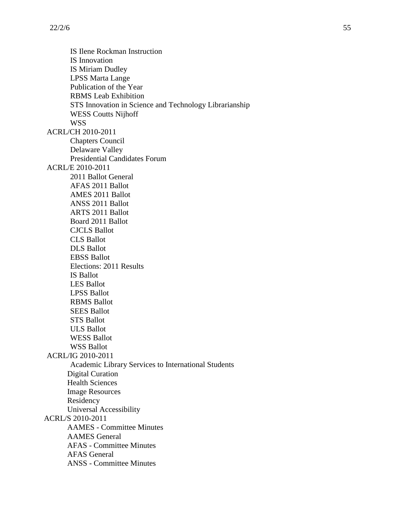IS Ilene Rockman Instruction IS Innovation IS Miriam Dudley LPSS Marta Lange Publication of the Year RBMS Leab Exhibition STS Innovation in Science and Technology Librarianship WESS Coutts Nijhoff WSS ACRL/CH 2010-2011 Chapters Council Delaware Valley Presidential Candidates Forum ACRL/E 2010-2011 2011 Ballot General AFAS 2011 Ballot AMES 2011 Ballot ANSS 2011 Ballot ARTS 2011 Ballot Board 2011 Ballot CJCLS Ballot CLS Ballot DLS Ballot EBSS Ballot Elections: 2011 Results IS Ballot LES Ballot LPSS Ballot RBMS Ballot SEES Ballot STS Ballot ULS Ballot WESS Ballot WSS Ballot ACRL/IG 2010-2011 Academic Library Services to International Students Digital Curation Health Sciences Image Resources Residency Universal Accessibility ACRL/S 2010-2011 AAMES - Committee Minutes AAMES General AFAS - Committee Minutes AFAS General ANSS - Committee Minutes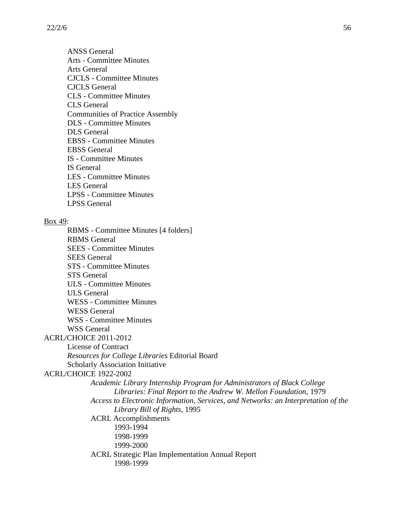ANSS General Arts - Committee Minutes Arts General CJCLS - Committee Minutes CJCLS General CLS - Committee Minutes CLS General Communities of Practice Assembly DLS - Committee Minutes DLS General EBSS - Committee Minutes EBSS General IS - Committee Minutes IS General LES - Committee Minutes LES General LPSS - Committee Minutes LPSS General

#### Box 49:

RBMS - Committee Minutes [4 folders] RBMS General SEES - Committee Minutes SEES General STS - Committee Minutes STS General ULS - Committee Minutes ULS General WESS - Committee Minutes WESS General WSS - Committee Minutes WSS General ACRL/CHOICE 2011-2012 License of Contract *Resources for College Libraries* Editorial Board Scholarly Association Initiative ACRL/CHOICE 1922-2002 *Academic Library Internship Program for Administrators of Black College Libraries: Final Report to the Andrew W. Mellon Foundation*, 1979 *Access to Electronic Information, Services, and Networks: an Interpretation of the Library Bill of Rights*, 1995 ACRL Accomplishments 1993-1994 1998-1999 1999-2000 ACRL Strategic Plan Implementation Annual Report 1998-1999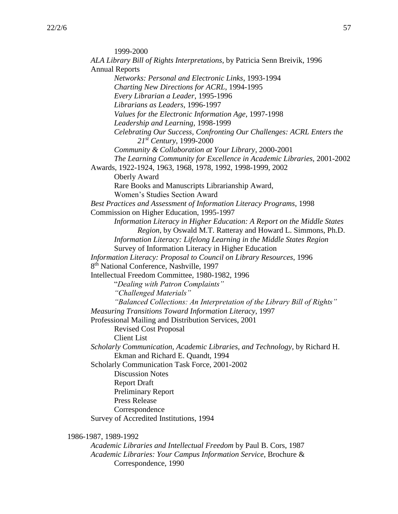1999-2000 *ALA Library Bill of Rights Interpretations*, by Patricia Senn Breivik, 1996 Annual Reports *Networks: Personal and Electronic Links*, 1993-1994 *Charting New Directions for ACRL*, 1994-1995 *Every Librarian a Leader*, 1995-1996 *Librarians as Leaders*, 1996-1997 *Values for the Electronic Information Age*, 1997-1998 *Leadership and Learning*, 1998-1999 *Celebrating Our Success, Confronting Our Challenges: ACRL Enters the 21st Century*, 1999-2000 *Community & Collaboration at Your Library*, 2000-2001 *The Learning Community for Excellence in Academic Libraries,* 2001-2002 Awards, 1922-1924, 1963, 1968, 1978, 1992, 1998-1999, 2002 Oberly Award Rare Books and Manuscripts Librarianship Award, Women's Studies Section Award *Best Practices and Assessment of Information Literacy Programs*, 1998 Commission on Higher Education, 1995-1997 *Information Literacy in Higher Education: A Report on the Middle States Region*, by Oswald M.T. Ratteray and Howard L. Simmons, Ph.D. *Information Literacy: Lifelong Learning in the Middle States Region* Survey of Information Literacy in Higher Education *Information Literacy: Proposal to Council on Library Resources*, 1996 8<sup>th</sup> National Conference, Nashville, 1997 Intellectual Freedom Committee, 1980-1982, 1996 "*Dealing with Patron Complaints" "Challenged Materials" "Balanced Collections: An Interpretation of the Library Bill of Rights" Measuring Transitions Toward Information Literacy*, 1997 Professional Mailing and Distribution Services, 2001 Revised Cost Proposal Client List *Scholarly Communication, Academic Libraries, and Technology*, by Richard H. Ekman and Richard E. Quandt, 1994 Scholarly Communication Task Force, 2001-2002 Discussion Notes Report Draft Preliminary Report Press Release Correspondence Survey of Accredited Institutions, 1994

1986-1987, 1989-1992

*Academic Libraries and Intellectual Freedom* by Paul B. Cors, 1987 *Academic Libraries: Your Campus Information Service*, Brochure & Correspondence, 1990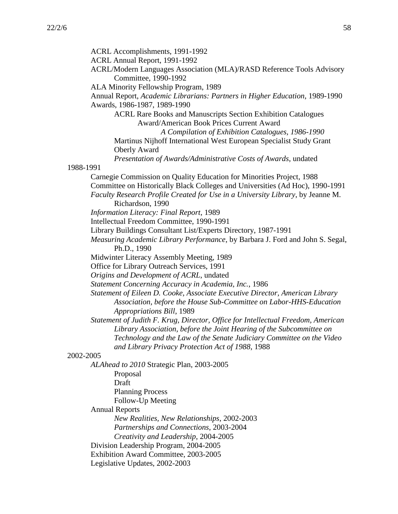ACRL Accomplishments, 1991-1992 ACRL Annual Report, 1991-1992 ACRL/Modern Languages Association (MLA)/RASD Reference Tools Advisory Committee, 1990-1992 ALA Minority Fellowship Program, 1989 Annual Report, *Academic Librarians: Partners in Higher Education*, 1989-1990 Awards, 1986-1987, 1989-1990 ACRL Rare Books and Manuscripts Section Exhibition Catalogues Award/American Book Prices Current Award *A Compilation of Exhibition Catalogues, 1986-1990* Martinus Nijhoff International West European Specialist Study Grant Oberly Award *Presentation of Awards/Administrative Costs of Awards*, undated 1988-1991 Carnegie Commission on Quality Education for Minorities Project, 1988 Committee on Historically Black Colleges and Universities (Ad Hoc), 1990-1991 *Faculty Research Profile Created for Use in a University Library*, by Jeanne M. Richardson, 1990 *Information Literacy: Final Report*, 1989 Intellectual Freedom Committee, 1990-1991 Library Buildings Consultant List/Experts Directory, 1987-1991 *Measuring Academic Library Performance*, by Barbara J. Ford and John S. Segal, Ph.D., 1990 Midwinter Literacy Assembly Meeting, 1989 Office for Library Outreach Services, 1991 *Origins and Development of ACRL*, undated *Statement Concerning Accuracy in Academia, Inc.*, 1986 *Statement of Eileen D. Cooke, Associate Executive Director, American Library Association, before the House Sub-Committee on Labor-HHS-Education Appropriations Bill*, 1989 *Statement of Judith F. Krug, Director, Office for Intellectual Freedom, American Library Association, before the Joint Hearing of the Subcommittee on Technology and the Law of the Senate Judiciary Committee on the Video and Library Privacy Protection Act of 1988*, 1988 2002-2005 *ALAhead to 2010* Strategic Plan, 2003-2005 Proposal Draft Planning Process Follow-Up Meeting Annual Reports *New Realities, New Relationships*, 2002-2003 *Partnerships and Connections*, 2003-2004 *Creativity and Leadership*, 2004-2005 Division Leadership Program, 2004-2005 Exhibition Award Committee, 2003-2005 Legislative Updates, 2002-2003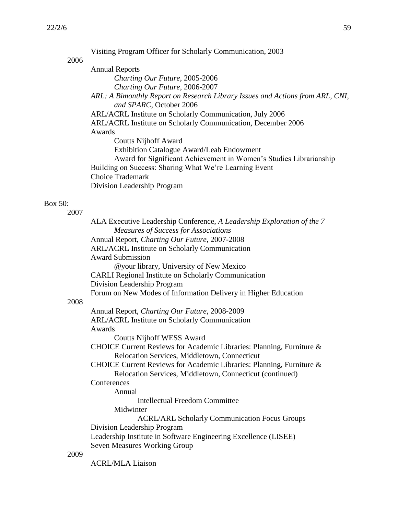Box 50:

|      | Visiting Program Officer for Scholarly Communication, 2003                                             |
|------|--------------------------------------------------------------------------------------------------------|
| 2006 | <b>Annual Reports</b>                                                                                  |
|      | Charting Our Future, 2005-2006                                                                         |
|      | Charting Our Future, 2006-2007                                                                         |
|      | ARL: A Bimonthly Report on Research Library Issues and Actions from ARL, CNI,                          |
|      | and SPARC, October 2006<br>ARL/ACRL Institute on Scholarly Communication, July 2006                    |
|      | ARL/ACRL Institute on Scholarly Communication, December 2006                                           |
|      | Awards                                                                                                 |
|      | <b>Coutts Nijhoff Award</b>                                                                            |
|      | Exhibition Catalogue Award/Leab Endowment                                                              |
|      | Award for Significant Achievement in Women's Studies Librarianship                                     |
|      | Building on Success: Sharing What We're Learning Event<br><b>Choice Trademark</b>                      |
|      | Division Leadership Program                                                                            |
|      |                                                                                                        |
|      |                                                                                                        |
| 2007 | ALA Executive Leadership Conference, A Leadership Exploration of the 7                                 |
|      | <b>Measures of Success for Associations</b>                                                            |
|      | Annual Report, Charting Our Future, 2007-2008                                                          |
|      | <b>ARL/ACRL Institute on Scholarly Communication</b>                                                   |
|      | <b>Award Submission</b>                                                                                |
|      | @your library, University of New Mexico                                                                |
|      | <b>CARLI Regional Institute on Scholarly Communication</b><br>Division Leadership Program              |
|      | Forum on New Modes of Information Delivery in Higher Education                                         |
| 2008 |                                                                                                        |
|      | Annual Report, Charting Our Future, 2008-2009                                                          |
|      | <b>ARL/ACRL Institute on Scholarly Communication</b><br>Awards                                         |
|      | <b>Coutts Nijhoff WESS Award</b>                                                                       |
|      | CHOICE Current Reviews for Academic Libraries: Planning, Furniture &                                   |
|      | Relocation Services, Middletown, Connecticut                                                           |
|      | CHOICE Current Reviews for Academic Libraries: Planning, Furniture &                                   |
|      | Relocation Services, Middletown, Connecticut (continued)                                               |
|      | Conferences<br>Annual                                                                                  |
|      | <b>Intellectual Freedom Committee</b>                                                                  |
|      | Midwinter                                                                                              |
|      | <b>ACRL/ARL Scholarly Communication Focus Groups</b>                                                   |
|      | Division Leadership Program                                                                            |
|      | Leadership Institute in Software Engineering Excellence (LISEE)<br><b>Seven Measures Working Group</b> |
| 2009 |                                                                                                        |
|      | <b>ACRL/MLA Liaison</b>                                                                                |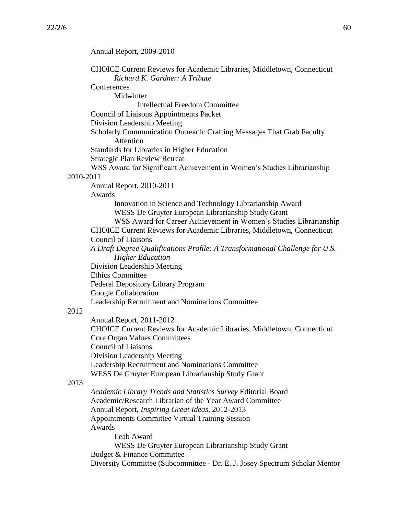Annual Report, 2009-2010 CHOICE Current Reviews for Academic Libraries, Middletown, Connecticut *Richard K. Gardner: A Tribute* **Conferences** Midwinter Intellectual Freedom Committee Council of Liaisons Appointments Packet Division Leadership Meeting Scholarly Communication Outreach: Crafting Messages That Grab Faculty Attention Standards for Libraries in Higher Education Strategic Plan Review Retreat WSS Award for Significant Achievement in Women's Studies Librarianship 2010-2011 Annual Report, 2010-2011 Awards Innovation in Science and Technology Librarianship Award WESS De Gruyter European Librarianship Study Grant WSS Award for Career Achievement in Women's Studies Librarianship CHOICE Current Reviews for Academic Libraries, Middletown, Connecticut Council of Liaisons *A Draft Degree Qualifications Profile: A Transformational Challenge for U.S. Higher Education* Division Leadership Meeting Ethics Committee Federal Depository Library Program Google Collaboration Leadership Recruitment and Nominations Committee 2012 Annual Report, 2011-2012 CHOICE Current Reviews for Academic Libraries, Middletown, Connecticut Core Organ Values Committees Council of Liaisons Division Leadership Meeting Leadership Recruitment and Nominations Committee WESS De Gruyter European Librarianship Study Grant 2013 *Academic Library Trends and Statistics Survey* Editorial Board Academic/Research Librarian of the Year Award Committee Annual Report, *Inspiring Great Ideas*, 2012-2013 Appointments Committee Virtual Training Session Awards Leab Award WESS De Gruyter European Librarianship Study Grant Budget & Finance Committee Diversity Committee (Subcommittee - Dr. E. J. Josey Spectrum Scholar Mentor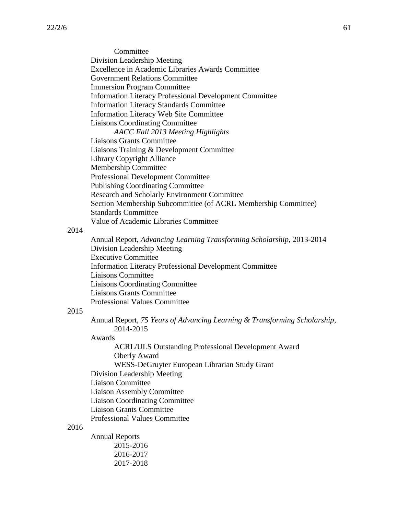**Committee** Division Leadership Meeting Excellence in Academic Libraries Awards Committee Government Relations Committee Immersion Program Committee Information Literacy Professional Development Committee Information Literacy Standards Committee Information Literacy Web Site Committee Liaisons Coordinating Committee *AACC Fall 2013 Meeting Highlights*  Liaisons Grants Committee Liaisons Training & Development Committee Library Copyright Alliance Membership Committee Professional Development Committee Publishing Coordinating Committee Research and Scholarly Environment Committee Section Membership Subcommittee (of ACRL Membership Committee) Standards Committee Value of Academic Libraries Committee

#### 2014

Annual Report, *Advancing Learning Transforming Scholarship*, 2013-2014 Division Leadership Meeting Executive Committee Information Literacy Professional Development Committee Liaisons Committee Liaisons Coordinating Committee Liaisons Grants Committee Professional Values Committee

## 2015

Annual Report, *75 Years of Advancing Learning & Transforming Scholarship*, 2014-2015

#### Awards

- ACRL/ULS Outstanding Professional Development Award Oberly Award WESS-DeGruyter European Librarian Study Grant Division Leadership Meeting
- Liaison Committee

Liaison Assembly Committee

Liaison Coordinating Committee

Liaison Grants Committee

Professional Values Committee

## 2016

Annual Reports 2015-2016 2016-2017 2017-2018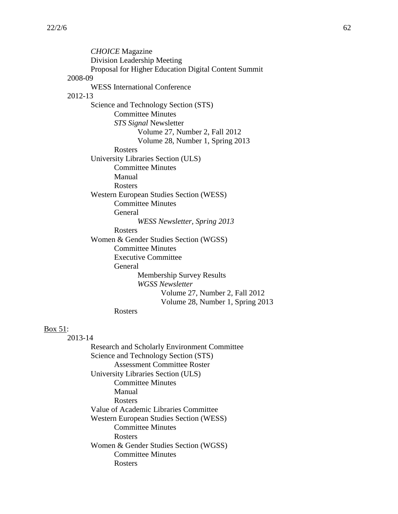*CHOICE* Magazine Division Leadership Meeting Proposal for Higher Education Digital Content Summit 2008-09 WESS International Conference 2012-13 Science and Technology Section (STS) Committee Minutes *STS Signal* Newsletter Volume 27, Number 2, Fall 2012 Volume 28, Number 1, Spring 2013 Rosters University Libraries Section (ULS) Committee Minutes Manual Rosters Western European Studies Section (WESS) Committee Minutes General *WESS Newsletter, Spring 2013* Rosters Women & Gender Studies Section (WGSS) Committee Minutes Executive Committee General Membership Survey Results *WGSS Newsletter* Volume 27, Number 2, Fall 2012 Volume 28, Number 1, Spring 2013 Rosters

#### Box 51:

2013-14

Research and Scholarly Environment Committee Science and Technology Section (STS) Assessment Committee Roster University Libraries Section (ULS) Committee Minutes Manual Rosters Value of Academic Libraries Committee Western European Studies Section (WESS) Committee Minutes Rosters Women & Gender Studies Section (WGSS) Committee Minutes Rosters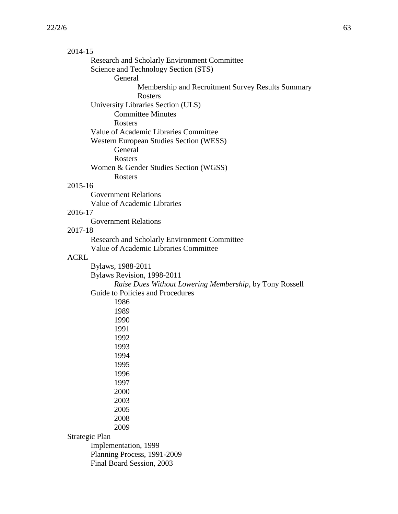| 2014-15        |                                                         |
|----------------|---------------------------------------------------------|
|                | Research and Scholarly Environment Committee            |
|                | Science and Technology Section (STS)                    |
|                | General                                                 |
|                | Membership and Recruitment Survey Results Summary       |
|                | <b>Rosters</b>                                          |
|                | University Libraries Section (ULS)                      |
|                | <b>Committee Minutes</b>                                |
|                | Rosters                                                 |
|                | Value of Academic Libraries Committee                   |
|                | Western European Studies Section (WESS)                 |
|                | General                                                 |
|                | Rosters                                                 |
|                | Women & Gender Studies Section (WGSS)                   |
|                | Rosters                                                 |
| 2015-16        |                                                         |
|                | <b>Government Relations</b>                             |
|                | Value of Academic Libraries                             |
| 2016-17        |                                                         |
|                | <b>Government Relations</b>                             |
| 2017-18        |                                                         |
|                | Research and Scholarly Environment Committee            |
|                | Value of Academic Libraries Committee                   |
| <b>ACRL</b>    |                                                         |
|                | Bylaws, 1988-2011                                       |
|                | Bylaws Revision, 1998-2011                              |
|                | Raise Dues Without Lowering Membership, by Tony Rossell |
|                | Guide to Policies and Procedures                        |
|                | 1986                                                    |
|                | 1989                                                    |
|                | 1990                                                    |
|                | 1991                                                    |
|                | 1992                                                    |
|                | 1993                                                    |
|                | 1994                                                    |
|                | 1995                                                    |
|                | 1996                                                    |
|                | 1997                                                    |
|                | 2000                                                    |
|                | 2003                                                    |
|                | 2005                                                    |
|                | 2008                                                    |
|                | 2009                                                    |
| Strategic Plan |                                                         |
|                | Implementation, 1999                                    |
|                | Planning Process, 1991-2009                             |
|                | Final Board Session, 2003                               |
|                |                                                         |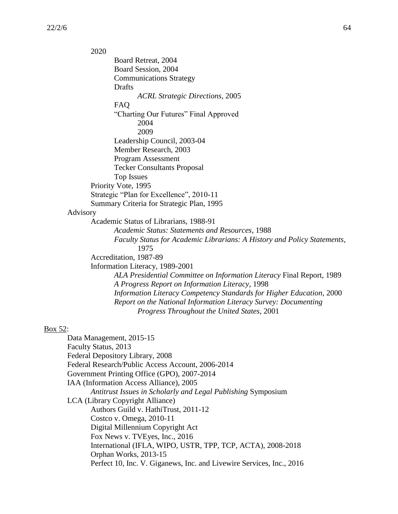2020 Board Retreat, 2004 Board Session, 2004 Communications Strategy Drafts *ACRL Strategic Directions*, 2005 FAQ "Charting Our Futures" Final Approved 2004 2009 Leadership Council, 2003-04 Member Research, 2003 Program Assessment Tecker Consultants Proposal Top Issues Priority Vote, 1995 Strategic "Plan for Excellence", 2010-11 Summary Criteria for Strategic Plan, 1995 Advisory Academic Status of Librarians, 1988-91 *Academic Status: Statements and Resources*, 1988 *Faculty Status for Academic Librarians: A History and Policy Statements*, 1975 Accreditation, 1987-89 Information Literacy, 1989-2001 *ALA Presidential Committee on Information Literacy* Final Report, 1989 *A Progress Report on Information Literacy*, 1998 *Information Literacy Competency Standards for Higher Education*, 2000 *Report on the National Information Literacy Survey: Documenting Progress Throughout the United States*, 2001

## Box 52:

Data Management, 2015-15 Faculty Status, 2013 Federal Depository Library, 2008 Federal Research/Public Access Account, 2006-2014 Government Printing Office (GPO), 2007-2014 IAA (Information Access Alliance), 2005 *Antitrust Issues in Scholarly and Legal Publishing* Symposium LCA (Library Copyright Alliance) Authors Guild v. HathiTrust, 2011-12 Costco v. Omega, 2010-11 Digital Millennium Copyright Act Fox News v. TVEyes, Inc., 2016 International (IFLA, WIPO, USTR, TPP, TCP, ACTA), 2008-2018 Orphan Works, 2013-15 Perfect 10, Inc. V. Giganews, Inc. and Livewire Services, Inc., 2016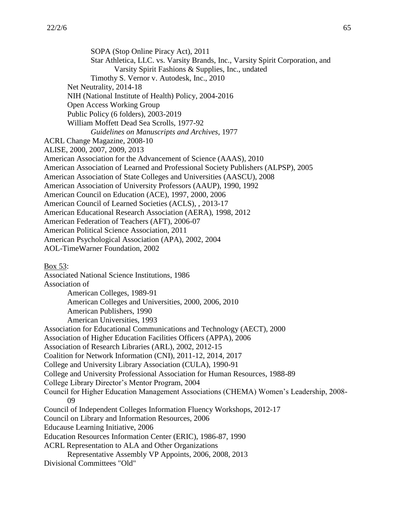SOPA (Stop Online Piracy Act), 2011 Star Athletica, LLC. vs. Varsity Brands, Inc., Varsity Spirit Corporation, and Varsity Spirit Fashions & Supplies, Inc., undated Timothy S. Vernor v. Autodesk, Inc., 2010 Net Neutrality, 2014-18 NIH (National Institute of Health) Policy, 2004-2016 Open Access Working Group Public Policy (6 folders), 2003-2019 William Moffett Dead Sea Scrolls, 1977-92 *Guidelines on Manuscripts and Archives*, 1977 ACRL Change Magazine, 2008-10 ALISE, 2000, 2007, 2009, 2013 American Association for the Advancement of Science (AAAS), 2010 American Association of Learned and Professional Society Publishers (ALPSP), 2005 American Association of State Colleges and Universities (AASCU), 2008 American Association of University Professors (AAUP), 1990, 1992 American Council on Education (ACE), 1997, 2000, 2006 American Council of Learned Societies (ACLS), , 2013-17 American Educational Research Association (AERA), 1998, 2012 American Federation of Teachers (AFT), 2006-07 American Political Science Association, 2011 American Psychological Association (APA), 2002, 2004 AOL-TimeWarner Foundation, 2002 Box 53: Associated National Science Institutions, 1986 Association of American Colleges, 1989-91 American Colleges and Universities, 2000, 2006, 2010 American Publishers, 1990 American Universities, 1993 Association for Educational Communications and Technology (AECT), 2000 Association of Higher Education Facilities Officers (APPA), 2006 Association of Research Libraries (ARL), 2002, 2012-15 Coalition for Network Information (CNI), 2011-12, 2014, 2017 College and University Library Association (CULA), 1990-91 College and University Professional Association for Human Resources, 1988-89

College Library Director's Mentor Program, 2004

Council for Higher Education Management Associations (CHEMA) Women's Leadership, 2008- 09

Council of Independent Colleges Information Fluency Workshops, 2012-17

Council on Library and Information Resources, 2006

Educause Learning Initiative, 2006

Education Resources Information Center (ERIC), 1986-87, 1990

ACRL Representation to ALA and Other Organizations

Representative Assembly VP Appoints, 2006, 2008, 2013 Divisional Committees "Old"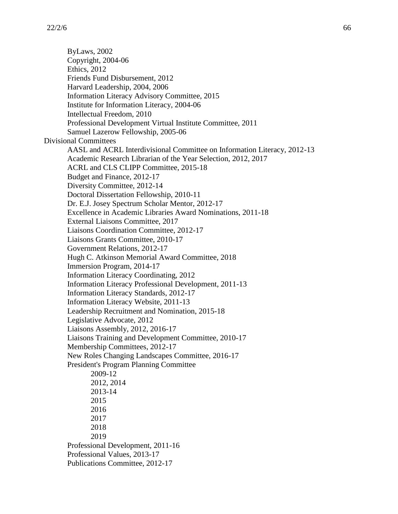ByLaws, 2002 Copyright, 2004-06 Ethics, 2012 Friends Fund Disbursement, 2012 Harvard Leadership, 2004, 2006 Information Literacy Advisory Committee, 2015 Institute for Information Literacy, 2004-06 Intellectual Freedom, 2010 Professional Development Virtual Institute Committee, 2011 Samuel Lazerow Fellowship, 2005-06 Divisional Committees AASL and ACRL Interdivisional Committee on Information Literacy, 2012-13 Academic Research Librarian of the Year Selection, 2012, 2017 ACRL and CLS CLIPP Committee, 2015-18 Budget and Finance, 2012-17 Diversity Committee, 2012-14 Doctoral Dissertation Fellowship, 2010-11 Dr. E.J. Josey Spectrum Scholar Mentor, 2012-17 Excellence in Academic Libraries Award Nominations, 2011-18 External Liaisons Committee, 2017 Liaisons Coordination Committee, 2012-17 Liaisons Grants Committee, 2010-17 Government Relations, 2012-17 Hugh C. Atkinson Memorial Award Committee, 2018 Immersion Program, 2014-17 Information Literacy Coordinating, 2012 Information Literacy Professional Development, 2011-13 Information Literacy Standards, 2012-17 Information Literacy Website, 2011-13 Leadership Recruitment and Nomination, 2015-18 Legislative Advocate, 2012 Liaisons Assembly, 2012, 2016-17 Liaisons Training and Development Committee, 2010-17 Membership Committees, 2012-17 New Roles Changing Landscapes Committee, 2016-17 President's Program Planning Committee 2009-12 2012, 2014 2013-14 2015 2016 2017 2018 2019 Professional Development, 2011-16 Professional Values, 2013-17 Publications Committee, 2012-17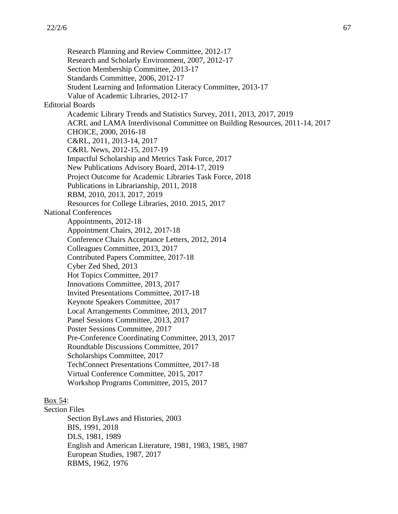Research Planning and Review Committee, 2012-17 Research and Scholarly Environment, 2007, 2012-17 Section Membership Committee, 2013-17 Standards Committee, 2006, 2012-17 Student Learning and Information Literacy Committee, 2013-17 Value of Academic Libraries, 2012-17 Editorial Boards Academic Library Trends and Statistics Survey, 2011, 2013, 2017, 2019 ACRL and LAMA Interdivisonal Committee on Building Resources, 2011-14, 2017 CHOICE, 2000, 2016-18 C&RL, 2011, 2013-14, 2017 C&RL News, 2012-15, 2017-19 Impactful Scholarship and Metrics Task Force, 2017 New Publications Advisory Board, 2014-17, 2019 Project Outcome for Academic Libraries Task Force, 2018 Publications in Librarianship, 2011, 2018 RBM, 2010, 2013, 2017, 2019 Resources for College Libraries, 2010. 2015, 2017 National Conferences Appointments, 2012-18 Appointment Chairs, 2012, 2017-18 Conference Chairs Acceptance Letters, 2012, 2014 Colleagues Committee, 2013, 2017 Contributed Papers Committee, 2017-18 Cyber Zed Shed, 2013 Hot Topics Committee, 2017 Innovations Committee, 2013, 2017 Invited Presentations Committee, 2017-18 Keynote Speakers Committee, 2017 Local Arrangements Committee, 2013, 2017 Panel Sessions Committee, 2013, 2017 Poster Sessions Committee, 2017 Pre-Conference Coordinating Committee, 2013, 2017 Roundtable Discussions Committee, 2017 Scholarships Committee, 2017 TechConnect Presentations Committee, 2017-18 Virtual Conference Committee, 2015, 2017 Workshop Programs Committee, 2015, 2017

# Box 54:

Section Files Section ByLaws and Histories, 2003 BIS, 1991, 2018 DLS, 1981, 1989 English and American Literature, 1981, 1983, 1985, 1987 European Studies, 1987, 2017 RBMS, 1962, 1976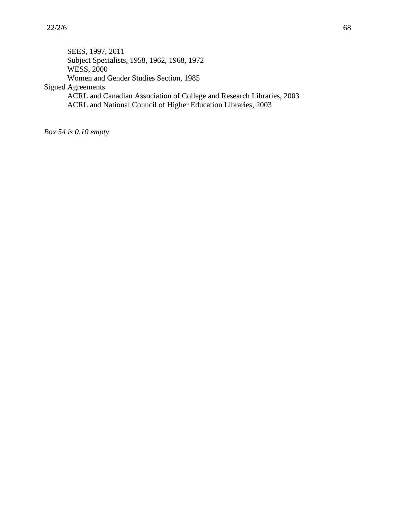SEES, 1997, 2011 Subject Specialists, 1958, 1962, 1968, 1972 WESS, 2000 Women and Gender Studies Section, 1985 Signed Agreements ACRL and Canadian Association of College and Research Libraries, 2003 ACRL and National Council of Higher Education Libraries, 2003

*Box 54 is 0.10 empty*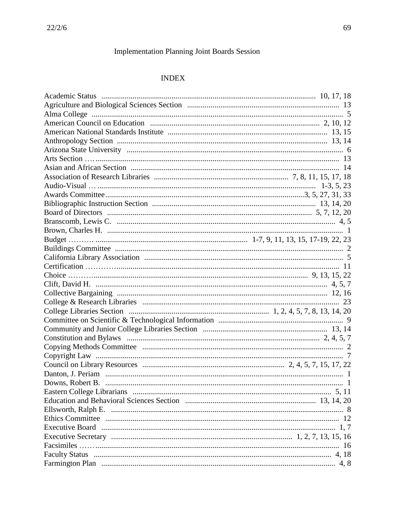# **Implementation Planning Joint Boards Session**

# **INDEX**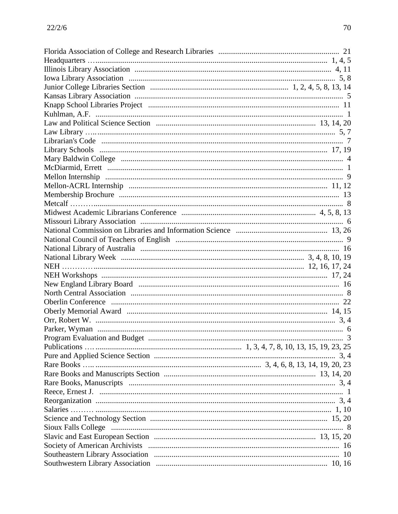| $\cdots$ $\cdots$ |
|-------------------|
|                   |
|                   |
|                   |
|                   |
|                   |
|                   |
|                   |
|                   |
|                   |
|                   |
|                   |
|                   |
|                   |
|                   |